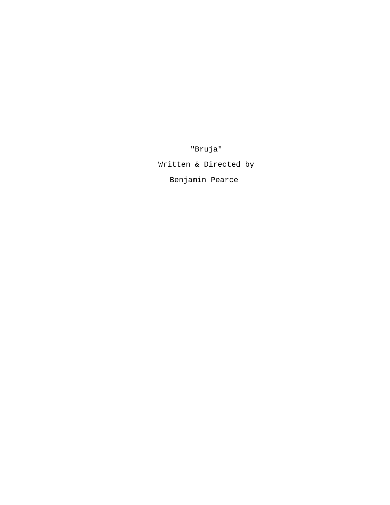"Bruja"

Written & Directed by

Benjamin Pearce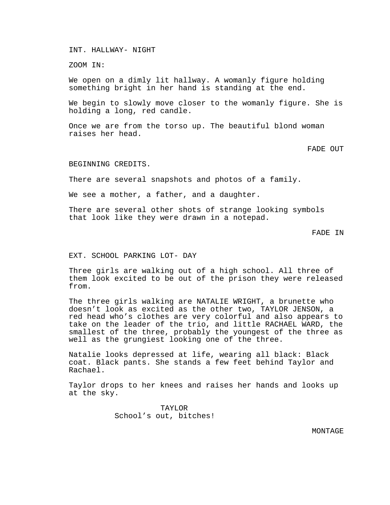INT. HALLWAY- NIGHT

ZOOM IN:

We open on a dimly lit hallway. A womanly figure holding something bright in her hand is standing at the end.

We begin to slowly move closer to the womanly figure. She is holding a long, red candle.

Once we are from the torso up. The beautiful blond woman raises her head.

FADE OUT

BEGINNING CREDITS.

There are several snapshots and photos of a family.

We see a mother, a father, and a daughter.

There are several other shots of strange looking symbols that look like they were drawn in a notepad.

FADE IN

EXT. SCHOOL PARKING LOT- DAY

Three girls are walking out of a high school. All three of them look excited to be out of the prison they were released from.

The three girls walking are NATALIE WRIGHT, a brunette who doesn't look as excited as the other two, TAYLOR JENSON, a red head who's clothes are very colorful and also appears to take on the leader of the trio, and little RACHAEL WARD, the smallest of the three, probably the youngest of the three as well as the grungiest looking one of the three.

Natalie looks depressed at life, wearing all black: Black coat. Black pants. She stands a few feet behind Taylor and Rachael.

Taylor drops to her knees and raises her hands and looks up at the sky.

> TAYLOR School's out, bitches!

> > MONTAGE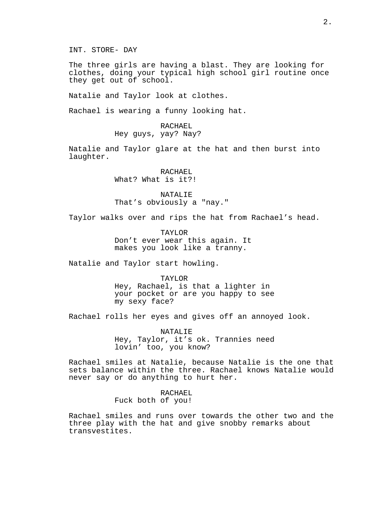INT. STORE- DAY

The three girls are having a blast. They are looking for clothes, doing your typical high school girl routine once they get out of school.

Natalie and Taylor look at clothes.

Rachael is wearing a funny looking hat.

RACHAEL Hey guys, yay? Nay?

Natalie and Taylor glare at the hat and then burst into laughter.

> RACHAEL What? What is it?!

NATALIE That's obviously a "nay."

Taylor walks over and rips the hat from Rachael's head.

TAYLOR Don't ever wear this again. It makes you look like a tranny.

Natalie and Taylor start howling.

TAYLOR Hey, Rachael, is that a lighter in your pocket or are you happy to see my sexy face?

Rachael rolls her eyes and gives off an annoyed look.

NATALIE Hey, Taylor, it's ok. Trannies need lovin' too, you know?

Rachael smiles at Natalie, because Natalie is the one that sets balance within the three. Rachael knows Natalie would never say or do anything to hurt her.

> RACHAEL Fuck both of you!

Rachael smiles and runs over towards the other two and the three play with the hat and give snobby remarks about transvestites.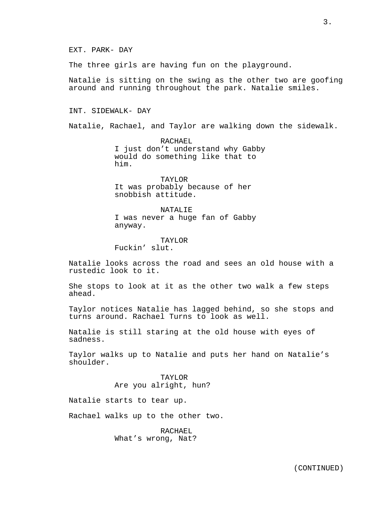The three girls are having fun on the playground.

Natalie is sitting on the swing as the other two are goofing around and running throughout the park. Natalie smiles.

INT. SIDEWALK- DAY

Natalie, Rachael, and Taylor are walking down the sidewalk.

RACHAEL I just don't understand why Gabby would do something like that to him.

TAYLOR It was probably because of her snobbish attitude.

NATALIE I was never a huge fan of Gabby anyway.

TAYLOR Fuckin' slut.

Natalie looks across the road and sees an old house with a rustedic look to it.

She stops to look at it as the other two walk a few steps ahead.

Taylor notices Natalie has lagged behind, so she stops and turns around. Rachael Turns to look as well.

Natalie is still staring at the old house with eyes of sadness.

Taylor walks up to Natalie and puts her hand on Natalie's shoulder.

> TAYLOR Are you alright, hun?

Natalie starts to tear up.

Rachael walks up to the other two.

RACHAEL What's wrong, Nat?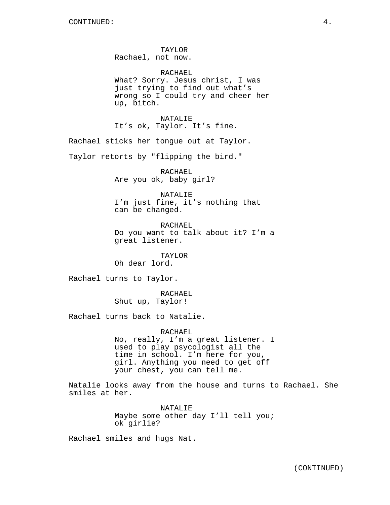TAYLOR Rachael, not now.

RACHAEL What? Sorry. Jesus christ, I was just trying to find out what's wrong so I could try and cheer her up, bitch.

NATALIE It's ok, Taylor. It's fine.

Rachael sticks her tongue out at Taylor.

Taylor retorts by "flipping the bird."

RACHAEL Are you ok, baby girl?

NATALIE I'm just fine, it's nothing that can be changed.

RACHAEL Do you want to talk about it? I'm a great listener.

TAYLOR Oh dear lord.

Rachael turns to Taylor.

RACHAEL Shut up, Taylor!

Rachael turns back to Natalie.

RACHAEL No, really, I'm a great listener. I used to play psycologist all the time in school. I'm here for you, girl. Anything you need to get off your chest, you can tell me.

Natalie looks away from the house and turns to Rachael. She smiles at her.

> NATALIE Maybe some other day I'll tell you; ok girlie?

Rachael smiles and hugs Nat.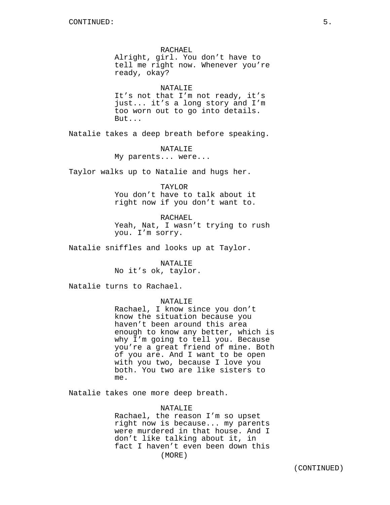RACHAEL Alright, girl. You don't have to tell me right now. Whenever you're ready, okay?

NATALIE It's not that I'm not ready, it's just... it's a long story and I'm too worn out to go into details. But...

Natalie takes a deep breath before speaking.

NATALIE My parents... were...

Taylor walks up to Natalie and hugs her.

TAYLOR

You don't have to talk about it right now if you don't want to.

RACHAEL Yeah, Nat, I wasn't trying to rush you. I'm sorry.

Natalie sniffles and looks up at Taylor.

NATALIE No it's ok, taylor.

Natalie turns to Rachael.

## NATALIE

Rachael, I know since you don't know the situation because you haven't been around this area enough to know any better, which is why I'm going to tell you. Because you're a great friend of mine. Both of you are. And I want to be open with you two, because I love you both. You two are like sisters to me.

Natalie takes one more deep breath.

## NATALIE

Rachael, the reason I'm so upset right now is because... my parents were murdered in that house. And I don't like talking about it, in fact I haven't even been down this (MORE)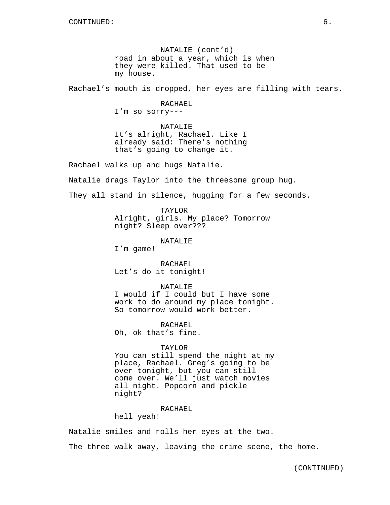NATALIE (cont'd) road in about a year, which is when they were killed. That used to be my house.

Rachael's mouth is dropped, her eyes are filling with tears.

RACHAEL I'm so sorry---

NATALIE It's alright, Rachael. Like I already said: There's nothing that's going to change it.

Rachael walks up and hugs Natalie.

Natalie drags Taylor into the threesome group hug.

They all stand in silence, hugging for a few seconds.

TAYLOR Alright, girls. My place? Tomorrow night? Sleep over???

NATALIE

I'm game!

RACHAEL Let's do it tonight!

NATALIE

I would if I could but I have some work to do around my place tonight. So tomorrow would work better.

RACHAEL Oh, ok that's fine.

#### TAYLOR

You can still spend the night at my place, Rachael. Greg's going to be over tonight, but you can still come over. We'll just watch movies all night. Popcorn and pickle night?

RACHAEL

hell yeah!

Natalie smiles and rolls her eyes at the two. The three walk away, leaving the crime scene, the home.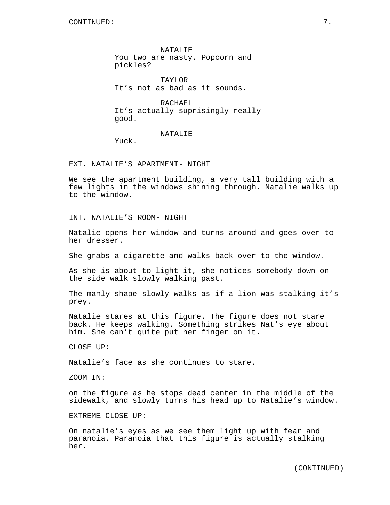NATALIE You two are nasty. Popcorn and pickles?

TAYLOR It's not as bad as it sounds.

RACHAEL It's actually suprisingly really good.

NATALIE

Yuck.

EXT. NATALIE'S APARTMENT- NIGHT

We see the apartment building, a very tall building with a few lights in the windows shining through. Natalie walks up to the window.

INT. NATALIE'S ROOM- NIGHT

Natalie opens her window and turns around and goes over to her dresser.

She grabs a cigarette and walks back over to the window.

As she is about to light it, she notices somebody down on the side walk slowly walking past.

The manly shape slowly walks as if a lion was stalking it's prey.

Natalie stares at this figure. The figure does not stare back. He keeps walking. Something strikes Nat's eye about him. She can't quite put her finger on it.

CLOSE UP:

Natalie's face as she continues to stare.

ZOOM IN:

on the figure as he stops dead center in the middle of the sidewalk, and slowly turns his head up to Natalie's window.

EXTREME CLOSE UP:

On natalie's eyes as we see them light up with fear and paranoia. Paranoia that this figure is actually stalking her.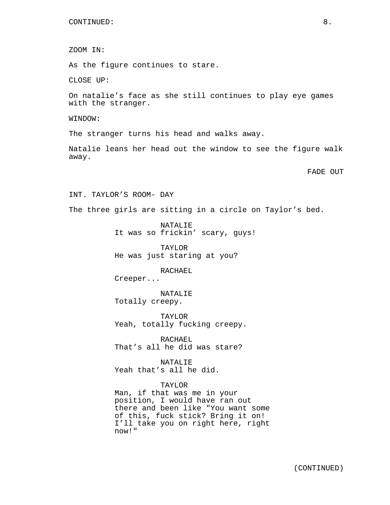ZOOM IN:

As the figure continues to stare.

CLOSE UP:

On natalie's face as she still continues to play eye games with the stranger.

WINDOW:

The stranger turns his head and walks away.

Natalie leans her head out the window to see the figure walk away.

FADE OUT

INT. TAYLOR'S ROOM- DAY

The three girls are sitting in a circle on Taylor's bed.

NATALIE It was so frickin' scary, guys!

TAYLOR He was just staring at you?

RACHAEL Creeper...

NATALIE

Totally creepy.

TAYLOR Yeah, totally fucking creepy.

RACHAEL That's all he did was stare?

NATALIE Yeah that's all he did.

### TAYLOR

Man, if that was me in your position, I would have ran out there and been like "You want some of this, fuck stick? Bring it on! I'll take you on right here, right now!"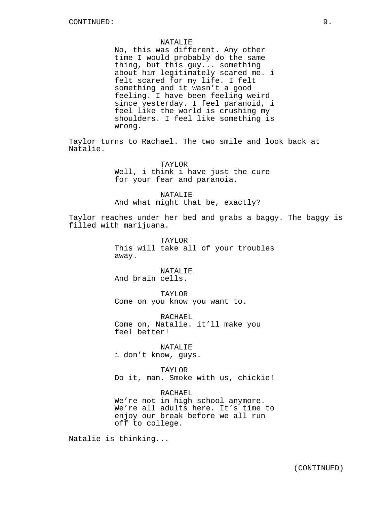#### NATALIE

No, this was different. Any other time I would probably do the same thing, but this guy... something about him legitimately scared me. i felt scared for my life. I felt something and it wasn't a good feeling. I have been feeling weird since yesterday. I feel paranoid, i feel like the world is crushing my shoulders. I feel like something is wrong.

Taylor turns to Rachael. The two smile and look back at Natalie.

> TAYLOR Well, i think i have just the cure for your fear and paranoia.

NATALIE And what might that be, exactly?

Taylor reaches under her bed and grabs a baggy. The baggy is filled with marijuana.

> TAYLOR This will take all of your troubles away.

NATALIE And brain cells.

TAYLOR Come on you know you want to.

RACHAEL Come on, Natalie. it'll make you feel better!

NATALIE i don't know, guys.

TAYLOR Do it, man. Smoke with us, chickie!

RACHAEL We're not in high school anymore. We're all adults here. It's time to enjoy our break before we all run off to college.

Natalie is thinking...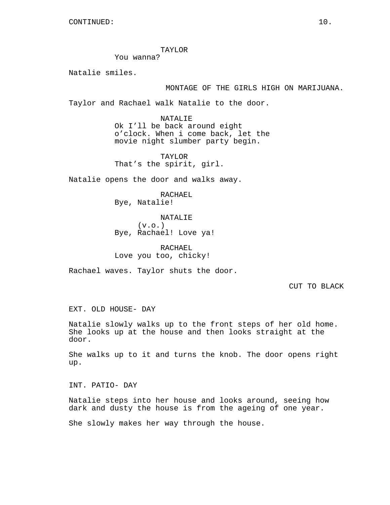TAYLOR

You wanna?

Natalie smiles.

## MONTAGE OF THE GIRLS HIGH ON MARIJUANA.

Taylor and Rachael walk Natalie to the door.

NATALIE Ok I'll be back around eight o'clock. When i come back, let the movie night slumber party begin.

TAYLOR That's the spirit, girl.

Natalie opens the door and walks away.

RACHAEL Bye, Natalie!

NATALIE  $(v.o.)$ Bye, Rachael! Love ya!

RACHAEL Love you too, chicky!

Rachael waves. Taylor shuts the door.

CUT TO BLACK

EXT. OLD HOUSE- DAY

Natalie slowly walks up to the front steps of her old home. She looks up at the house and then looks straight at the door.

She walks up to it and turns the knob. The door opens right up.

INT. PATIO- DAY

Natalie steps into her house and looks around, seeing how dark and dusty the house is from the ageing of one year.

She slowly makes her way through the house.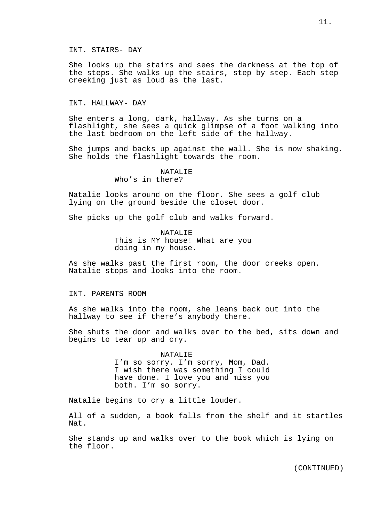INT. STAIRS- DAY

She looks up the stairs and sees the darkness at the top of the steps. She walks up the stairs, step by step. Each step creeking just as loud as the last.

## INT. HALLWAY- DAY

She enters a long, dark, hallway. As she turns on a flashlight, she sees a quick glimpse of a foot walking into the last bedroom on the left side of the hallway.

She jumps and backs up against the wall. She is now shaking. She holds the flashlight towards the room.

## NATALIE Who's in there?

Natalie looks around on the floor. She sees a golf club lying on the ground beside the closet door.

She picks up the golf club and walks forward.

NATALIF. This is MY house! What are you doing in my house.

As she walks past the first room, the door creeks open. Natalie stops and looks into the room.

INT. PARENTS ROOM

As she walks into the room, she leans back out into the hallway to see if there's anybody there.

She shuts the door and walks over to the bed, sits down and begins to tear up and cry.

# NATALIE I'm so sorry. I'm sorry, Mom, Dad. I wish there was something I could

have done. I love you and miss you both. I'm so sorry.

Natalie begins to cry a little louder.

All of a sudden, a book falls from the shelf and it startles Nat.

She stands up and walks over to the book which is lying on the floor.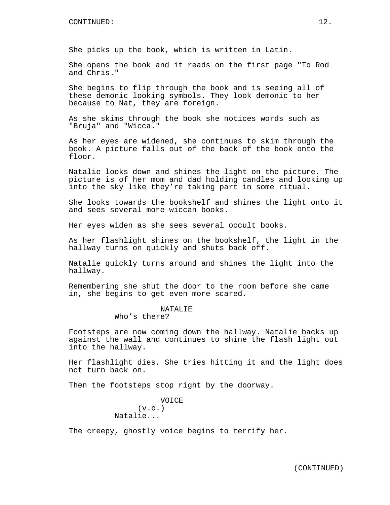She picks up the book, which is written in Latin.

She opens the book and it reads on the first page "To Rod and Chris."

She begins to flip through the book and is seeing all of these demonic looking symbols. They look demonic to her because to Nat, they are foreign.

As she skims through the book she notices words such as "Bruja" and "Wicca."

As her eyes are widened, she continues to skim through the book. A picture falls out of the back of the book onto the floor.

Natalie looks down and shines the light on the picture. The picture is of her mom and dad holding candles and looking up into the sky like they're taking part in some ritual.

She looks towards the bookshelf and shines the light onto it and sees several more wiccan books.

Her eyes widen as she sees several occult books.

As her flashlight shines on the bookshelf, the light in the hallway turns on quickly and shuts back off.

Natalie quickly turns around and shines the light into the hallway.

Remembering she shut the door to the room before she came in, she begins to get even more scared.

# NATALIE

Who's there?

Footsteps are now coming down the hallway. Natalie backs up against the wall and continues to shine the flash light out into the hallway.

Her flashlight dies. She tries hitting it and the light does not turn back on.

Then the footsteps stop right by the doorway.

VOICE  $(v.o.)$ Natalie...

The creepy, ghostly voice begins to terrify her.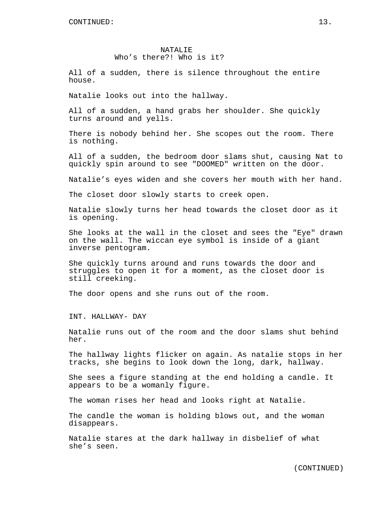## NATALIE Who's there?! Who is it?

All of a sudden, there is silence throughout the entire house.

Natalie looks out into the hallway.

All of a sudden, a hand grabs her shoulder. She quickly turns around and yells.

There is nobody behind her. She scopes out the room. There is nothing.

All of a sudden, the bedroom door slams shut, causing Nat to quickly spin around to see "DOOMED" written on the door.

Natalie's eyes widen and she covers her mouth with her hand.

The closet door slowly starts to creek open.

Natalie slowly turns her head towards the closet door as it is opening.

She looks at the wall in the closet and sees the "Eye" drawn on the wall. The wiccan eye symbol is inside of a giant inverse pentogram.

She quickly turns around and runs towards the door and struggles to open it for a moment, as the closet door is still creeking.

The door opens and she runs out of the room.

INT. HALLWAY- DAY

Natalie runs out of the room and the door slams shut behind her.

The hallway lights flicker on again. As natalie stops in her tracks, she begins to look down the long, dark, hallway.

She sees a figure standing at the end holding a candle. It appears to be a womanly figure.

The woman rises her head and looks right at Natalie.

The candle the woman is holding blows out, and the woman disappears.

Natalie stares at the dark hallway in disbelief of what she's seen.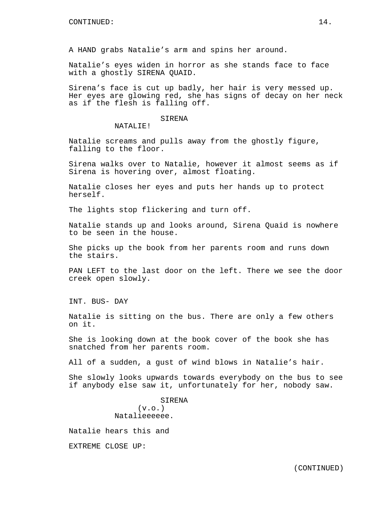A HAND grabs Natalie's arm and spins her around.

Natalie's eyes widen in horror as she stands face to face with a ghostly SIRENA QUAID.

Sirena's face is cut up badly, her hair is very messed up. Her eyes are glowing red, she has signs of decay on her neck as if the flesh is falling off.

## SIRENA

NATALIE!

Natalie screams and pulls away from the ghostly figure, falling to the floor.

Sirena walks over to Natalie, however it almost seems as if Sirena is hovering over, almost floating.

Natalie closes her eyes and puts her hands up to protect herself.

The lights stop flickering and turn off.

Natalie stands up and looks around, Sirena Quaid is nowhere to be seen in the house.

She picks up the book from her parents room and runs down the stairs.

PAN LEFT to the last door on the left. There we see the door creek open slowly.

INT. BUS- DAY

Natalie is sitting on the bus. There are only a few others on it.

She is looking down at the book cover of the book she has snatched from her parents room.

All of a sudden, a gust of wind blows in Natalie's hair.

She slowly looks upwards towards everybody on the bus to see if anybody else saw it, unfortunately for her, nobody saw.

> SIRENA  $(v.o.)$ Natalieeeeee.

Natalie hears this and

EXTREME CLOSE UP: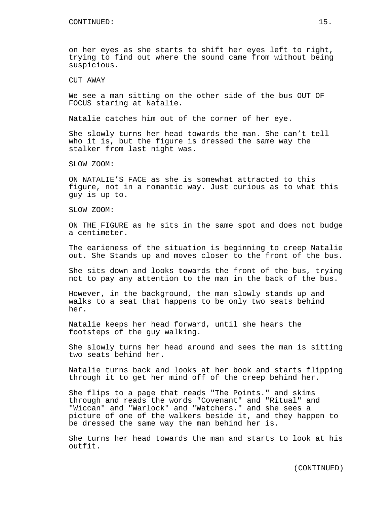on her eyes as she starts to shift her eyes left to right, trying to find out where the sound came from without being suspicious.

CUT AWAY

We see a man sitting on the other side of the bus OUT OF FOCUS staring at Natalie.

Natalie catches him out of the corner of her eye.

She slowly turns her head towards the man. She can't tell who it is, but the figure is dressed the same way the stalker from last night was.

SLOW ZOOM:

ON NATALIE'S FACE as she is somewhat attracted to this figure, not in a romantic way. Just curious as to what this guy is up to.

SLOW ZOOM:

ON THE FIGURE as he sits in the same spot and does not budge a centimeter.

The earieness of the situation is beginning to creep Natalie out. She Stands up and moves closer to the front of the bus.

She sits down and looks towards the front of the bus, trying not to pay any attention to the man in the back of the bus.

However, in the background, the man slowly stands up and walks to a seat that happens to be only two seats behind her.

Natalie keeps her head forward, until she hears the footsteps of the guy walking.

She slowly turns her head around and sees the man is sitting two seats behind her.

Natalie turns back and looks at her book and starts flipping through it to get her mind off of the creep behind her.

She flips to a page that reads "The Points." and skims through and reads the words "Covenant" and "Ritual" and "Wiccan" and "Warlock" and "Watchers." and she sees a picture of one of the walkers beside it, and they happen to be dressed the same way the man behind her is.

She turns her head towards the man and starts to look at his outfit.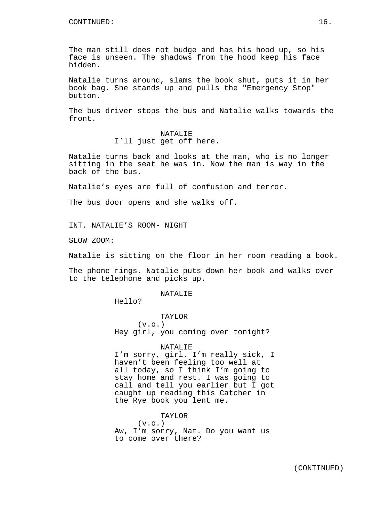The man still does not budge and has his hood up, so his face is unseen. The shadows from the hood keep his face hidden.

Natalie turns around, slams the book shut, puts it in her book bag. She stands up and pulls the "Emergency Stop" button.

The bus driver stops the bus and Natalie walks towards the front.

## NATALIE I'll just get off here.

Natalie turns back and looks at the man, who is no longer sitting in the seat he was in. Now the man is way in the back of the bus.

Natalie's eyes are full of confusion and terror.

The bus door opens and she walks off.

INT. NATALIE'S ROOM- NIGHT

SLOW ZOOM:

Natalie is sitting on the floor in her room reading a book.

The phone rings. Natalie puts down her book and walks over to the telephone and picks up.

NATALIE

Hello?

TAYLOR  $(v.o.)$ Hey girl, you coming over tonight?

#### NATALIE

I'm sorry, girl. I'm really sick, I haven't been feeling too well at all today, so I think I'm going to stay home and rest. I was going to call and tell you earlier but I got caught up reading this Catcher in the Rye book you lent me.

TAYLOR

 $(v.o.)$ Aw, I'm sorry, Nat. Do you want us to come over there?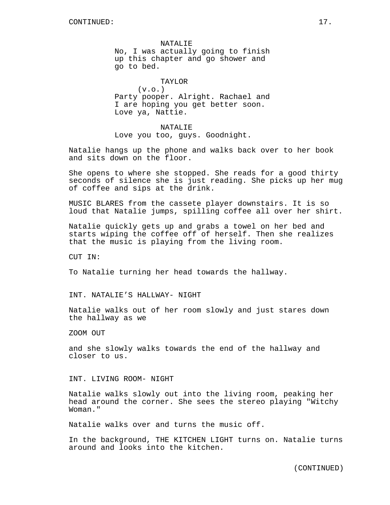NATALIF. No, I was actually going to finish up this chapter and go shower and go to bed.

TAYLOR  $(v.o.)$ Party pooper. Alright. Rachael and I are hoping you get better soon. Love ya, Nattie.

NATALIE Love you too, guys. Goodnight.

Natalie hangs up the phone and walks back over to her book and sits down on the floor.

She opens to where she stopped. She reads for a good thirty seconds of silence she is just reading. She picks up her mug of coffee and sips at the drink.

MUSIC BLARES from the cassete player downstairs. It is so loud that Natalie jumps, spilling coffee all over her shirt.

Natalie quickly gets up and grabs a towel on her bed and starts wiping the coffee off of herself. Then she realizes that the music is playing from the living room.

CUT IN:

To Natalie turning her head towards the hallway.

INT. NATALIE'S HALLWAY- NIGHT

Natalie walks out of her room slowly and just stares down the hallway as we

ZOOM OUT

and she slowly walks towards the end of the hallway and closer to us.

INT. LIVING ROOM- NIGHT

Natalie walks slowly out into the living room, peaking her head around the corner. She sees the stereo playing "Witchy Woman."

Natalie walks over and turns the music off.

In the background, THE KITCHEN LIGHT turns on. Natalie turns around and looks into the kitchen.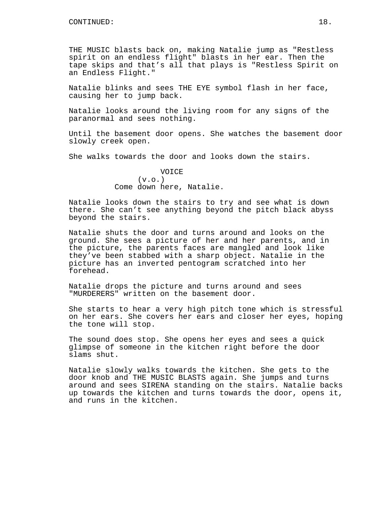THE MUSIC blasts back on, making Natalie jump as "Restless spirit on an endless flight" blasts in her ear. Then the tape skips and that's all that plays is "Restless Spirit on an Endless Flight."

Natalie blinks and sees THE EYE symbol flash in her face, causing her to jump back.

Natalie looks around the living room for any signs of the paranormal and sees nothing.

Until the basement door opens. She watches the basement door slowly creek open.

She walks towards the door and looks down the stairs.

VOICE  $(v.o.)$ Come down here, Natalie.

Natalie looks down the stairs to try and see what is down there. She can't see anything beyond the pitch black abyss beyond the stairs.

Natalie shuts the door and turns around and looks on the ground. She sees a picture of her and her parents, and in the picture, the parents faces are mangled and look like they've been stabbed with a sharp object. Natalie in the picture has an inverted pentogram scratched into her forehead.

Natalie drops the picture and turns around and sees "MURDERERS" written on the basement door.

She starts to hear a very high pitch tone which is stressful on her ears. She covers her ears and closer her eyes, hoping the tone will stop.

The sound does stop. She opens her eyes and sees a quick glimpse of someone in the kitchen right before the door slams shut.

Natalie slowly walks towards the kitchen. She gets to the door knob and THE MUSIC BLASTS again. She jumps and turns around and sees SIRENA standing on the stairs. Natalie backs up towards the kitchen and turns towards the door, opens it, and runs in the kitchen.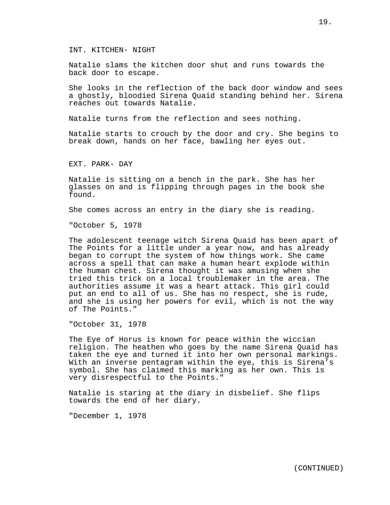INT. KITCHEN- NIGHT

Natalie slams the kitchen door shut and runs towards the back door to escape.

She looks in the reflection of the back door window and sees a ghostly, bloodied Sirena Quaid standing behind her. Sirena reaches out towards Natalie.

Natalie turns from the reflection and sees nothing.

Natalie starts to crouch by the door and cry. She begins to break down, hands on her face, bawling her eyes out.

EXT. PARK- DAY

Natalie is sitting on a bench in the park. She has her glasses on and is flipping through pages in the book she found.

She comes across an entry in the diary she is reading.

"October 5, 1978

The adolescent teenage witch Sirena Quaid has been apart of The Points for a little under a year now, and has already began to corrupt the system of how things work. She came across a spell that can make a human heart explode within the human chest. Sirena thought it was amusing when she tried this trick on a local troublemaker in the area. The authorities assume it was a heart attack. This girl could put an end to all of us. She has no respect, she is rude, and she is using her powers for evil, which is not the way of The Points."

"October 31, 1978

The Eye of Horus is known for peace within the wiccian religion. The heathen who goes by the name Sirena Quaid has taken the eye and turned it into her own personal markings. With an inverse pentagram within the eye, this is Sirena's symbol. She has claimed this marking as her own. This is very disrespectful to the Points."

Natalie is staring at the diary in disbelief. She flips towards the end of her diary.

"December 1, 1978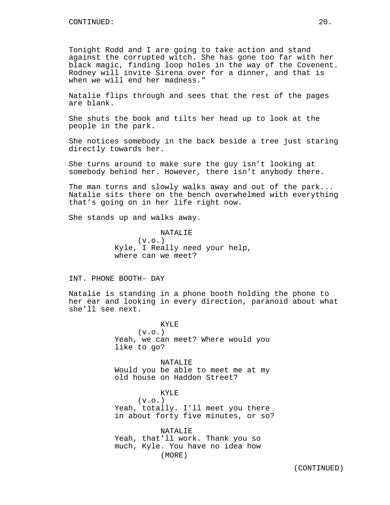Tonight Rodd and I are going to take action and stand against the corrupted witch. She has gone too far with her black magic, finding loop holes in the way of the Covenent. Rodney will invite Sirena over for a dinner, and that is when we will end her madness."

Natalie flips through and sees that the rest of the pages are blank.

She shuts the book and tilts her head up to look at the people in the park.

She notices somebody in the back beside a tree just staring directly towards her.

She turns around to make sure the guy isn't looking at somebody behind her. However, there isn't anybody there.

The man turns and slowly walks away and out of the park... Natalie sits there on the bench overwhelmed with everything that's going on in her life right now.

She stands up and walks away.

NATALIE  $(v.o.)$ Kyle, I Really need your help, where can we meet?

INT. PHONE BOOTH- DAY

Natalie is standing in a phone booth holding the phone to her ear and looking in every direction, paranoid about what she'll see next.

> KYLE  $(v.o.)$ Yeah, we can meet? Where would you like to go?

> NATALIE Would you be able to meet me at my old house on Haddon Street?

KYLE  $(v.o.)$ Yeah, totally. I'll meet you there in about forty five minutes, or so?

NATALIE Yeah, that'll work. Thank you so much, Kyle. You have no idea how (MORE)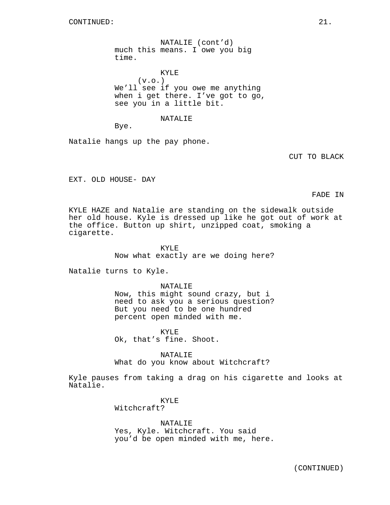NATALIE (cont'd) much this means. I owe you big time.

KYLE  $(v.o.)$ We'll see if you owe me anything when i get there. I've got to go, see you in a little bit.

#### NATALIE

Bye.

Natalie hangs up the pay phone.

CUT TO BLACK

EXT. OLD HOUSE- DAY

FADE IN

KYLE HAZE and Natalie are standing on the sidewalk outside her old house. Kyle is dressed up like he got out of work at the office. Button up shirt, unzipped coat, smoking a cigarette.

> KYLE Now what exactly are we doing here?

Natalie turns to Kyle.

NATALIE Now, this might sound crazy, but i need to ask you a serious question? But you need to be one hundred percent open minded with me.

KYLE Ok, that's fine. Shoot.

NATALIE What do you know about Witchcraft?

Kyle pauses from taking a drag on his cigarette and looks at Natalie.

> KYLE Witchcraft?

NATALIE Yes, Kyle. Witchcraft. You said you'd be open minded with me, here.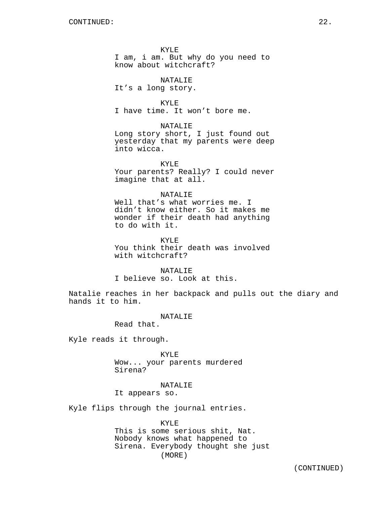KYLE I am, i am. But why do you need to know about witchcraft?

NATALIE It's a long story.

KYLE I have time. It won't bore me.

NATALIE

Long story short, I just found out yesterday that my parents were deep into wicca.

KYLE Your parents? Really? I could never imagine that at all.

## NATALIE

Well that's what worries me. I didn't know either. So it makes me wonder if their death had anything to do with it.

KYLE You think their death was involved with witchcraft?

NATALIE I believe so. Look at this.

Natalie reaches in her backpack and pulls out the diary and hands it to him.

NATALIE

Read that.

Kyle reads it through.

KYLE Wow... your parents murdered Sirena?

### NATALIE

It appears so.

Kyle flips through the journal entries.

KYLE This is some serious shit, Nat. Nobody knows what happened to Sirena. Everybody thought she just (MORE)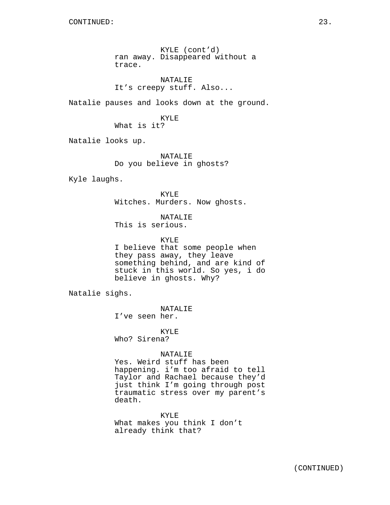KYLE (cont'd) ran away. Disappeared without a trace.

NATALIE It's creepy stuff. Also...

Natalie pauses and looks down at the ground.

KYLE What is it?

Natalie looks up.

NATALIE Do you believe in ghosts?

Kyle laughs.

KYLE Witches. Murders. Now ghosts.

NATALIE This is serious.

KYLE

I believe that some people when they pass away, they leave something behind, and are kind of stuck in this world. So yes, i do believe in ghosts. Why?

Natalie sighs.

NATALIE I've seen her.

KYLE

Who? Sirena?

## NATALIE

Yes. Weird stuff has been happening. i'm too afraid to tell Taylor and Rachael because they'd just think I'm going through post traumatic stress over my parent's death.

KYLE

What makes you think I don't already think that?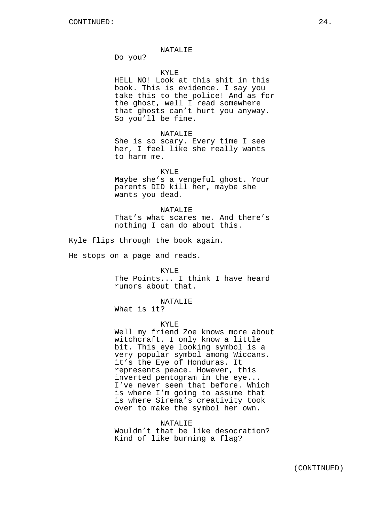#### NATALIE

Do you?

### KYLE

HELL NO! Look at this shit in this book. This is evidence. I say you take this to the police! And as for the ghost, well I read somewhere that ghosts can't hurt you anyway. So you'll be fine.

#### NATALIE

She is so scary. Every time I see her, I feel like she really wants to harm me.

#### KYLE

Maybe she's a vengeful ghost. Your parents DID kill her, maybe she wants you dead.

#### NATALIE

That's what scares me. And there's nothing I can do about this.

Kyle flips through the book again.

He stops on a page and reads.

#### KYLE

The Points... I think I have heard rumors about that.

## NATALIE

What is it?

#### KYLE

Well my friend Zoe knows more about witchcraft. I only know a little bit. This eye looking symbol is a very popular symbol among Wiccans. it's the Eye of Honduras. It represents peace. However, this inverted pentogram in the eye... I've never seen that before. Which is where I'm going to assume that is where Sirena's creativity took over to make the symbol her own.

#### NATALIE

Wouldn't that be like desocration? Kind of like burning a flag?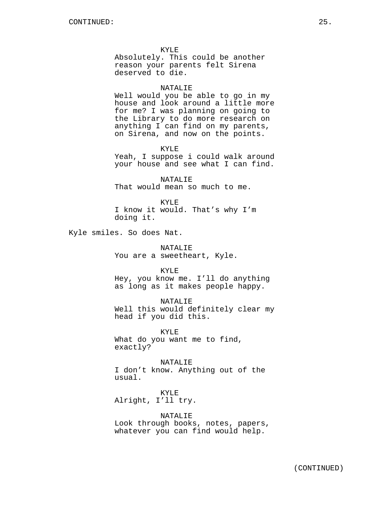KYLE Absolutely. This could be another reason your parents felt Sirena deserved to die.

#### NATALIE

Well would you be able to go in my house and look around a little more for me? I was planning on going to the Library to do more research on anything I can find on my parents, on Sirena, and now on the points.

KYLE

Yeah, I suppose i could walk around your house and see what I can find.

NATALIE That would mean so much to me.

KYLE I know it would. That's why I'm doing it.

Kyle smiles. So does Nat.

NATALIE You are a sweetheart, Kyle.

KYLE Hey, you know me. I'll do anything

as long as it makes people happy.

NATALIE Well this would definitely clear my head if you did this.

KYLE What do you want me to find, exactly?

NATALIE I don't know. Anything out of the usual.

KYLE Alright, I'll try.

NATALIE Look through books, notes, papers, whatever you can find would help.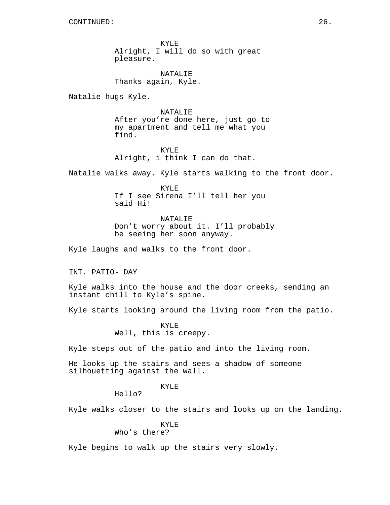KYLE Alright, I will do so with great pleasure.

NATALIE Thanks again, Kyle.

Natalie hugs Kyle.

NATALIE After you're done here, just go to my apartment and tell me what you find.

KYLE Alright, i think I can do that.

Natalie walks away. Kyle starts walking to the front door.

KYLE If I see Sirena I'll tell her you said Hi!

NATALIE Don't worry about it. I'll probably be seeing her soon anyway.

Kyle laughs and walks to the front door.

INT. PATIO- DAY

Kyle walks into the house and the door creeks, sending an instant chill to Kyle's spine.

Kyle starts looking around the living room from the patio.

KYLE Well, this is creepy.

Kyle steps out of the patio and into the living room.

He looks up the stairs and sees a shadow of someone silhouetting against the wall.

KYLE

Hello?

Kyle walks closer to the stairs and looks up on the landing.

KYLE

Who's there?

Kyle begins to walk up the stairs very slowly.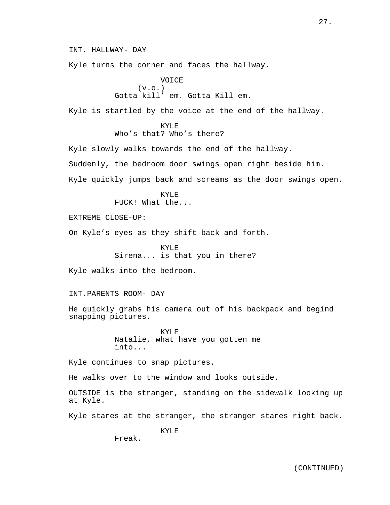INT. HALLWAY- DAY

Kyle turns the corner and faces the hallway.

VOICE (v.o.) Gotta kill' em. Gotta Kill em.

Kyle is startled by the voice at the end of the hallway.

KYLE Who's that? Who's there?

Kyle slowly walks towards the end of the hallway. Suddenly, the bedroom door swings open right beside him. Kyle quickly jumps back and screams as the door swings open.

> KYLE FUCK! What the...

EXTREME CLOSE-UP:

On Kyle's eyes as they shift back and forth.

KYLE Sirena... is that you in there?

Kyle walks into the bedroom.

INT.PARENTS ROOM- DAY

He quickly grabs his camera out of his backpack and begind snapping pictures.

> KYLE Natalie, what have you gotten me into...

Kyle continues to snap pictures.

He walks over to the window and looks outside.

OUTSIDE is the stranger, standing on the sidewalk looking up at Kyle.

Kyle stares at the stranger, the stranger stares right back.

KYLE

Freak.

27.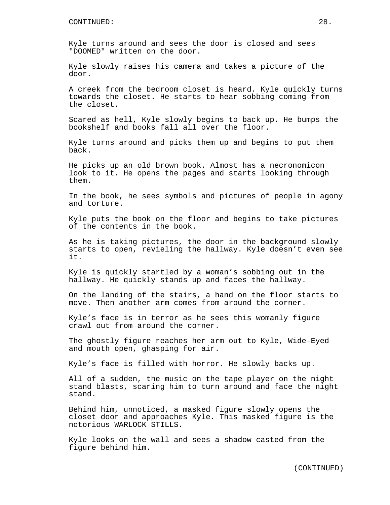Kyle turns around and sees the door is closed and sees "DOOMED" written on the door.

Kyle slowly raises his camera and takes a picture of the door.

A creek from the bedroom closet is heard. Kyle quickly turns towards the closet. He starts to hear sobbing coming from the closet.

Scared as hell, Kyle slowly begins to back up. He bumps the bookshelf and books fall all over the floor.

Kyle turns around and picks them up and begins to put them back.

He picks up an old brown book. Almost has a necronomicon look to it. He opens the pages and starts looking through them.

In the book, he sees symbols and pictures of people in agony and torture.

Kyle puts the book on the floor and begins to take pictures of the contents in the book.

As he is taking pictures, the door in the background slowly starts to open, revieling the hallway. Kyle doesn't even see it.

Kyle is quickly startled by a woman's sobbing out in the hallway. He quickly stands up and faces the hallway.

On the landing of the stairs, a hand on the floor starts to move. Then another arm comes from around the corner.

Kyle's face is in terror as he sees this womanly figure crawl out from around the corner.

The ghostly figure reaches her arm out to Kyle, Wide-Eyed and mouth open, ghasping for air.

Kyle's face is filled with horror. He slowly backs up.

All of a sudden, the music on the tape player on the night stand blasts, scaring him to turn around and face the night stand.

Behind him, unnoticed, a masked figure slowly opens the closet door and approaches Kyle. This masked figure is the notorious WARLOCK STILLS.

Kyle looks on the wall and sees a shadow casted from the figure behind him.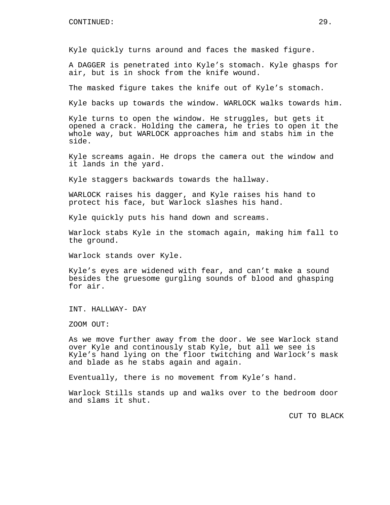Kyle quickly turns around and faces the masked figure.

A DAGGER is penetrated into Kyle's stomach. Kyle ghasps for air, but is in shock from the knife wound.

The masked figure takes the knife out of Kyle's stomach.

Kyle backs up towards the window. WARLOCK walks towards him.

Kyle turns to open the window. He struggles, but gets it opened a crack. Holding the camera, he tries to open it the whole way, but WARLOCK approaches him and stabs him in the side.

Kyle screams again. He drops the camera out the window and it lands in the yard.

Kyle staggers backwards towards the hallway.

WARLOCK raises his dagger, and Kyle raises his hand to protect his face, but Warlock slashes his hand.

Kyle quickly puts his hand down and screams.

Warlock stabs Kyle in the stomach again, making him fall to the ground.

Warlock stands over Kyle.

Kyle's eyes are widened with fear, and can't make a sound besides the gruesome gurgling sounds of blood and ghasping for air.

INT. HALLWAY- DAY

ZOOM OUT:

As we move further away from the door. We see Warlock stand over Kyle and continously stab Kyle, but all we see is Kyle's hand lying on the floor twitching and Warlock's mask and blade as he stabs again and again.

Eventually, there is no movement from Kyle's hand.

Warlock Stills stands up and walks over to the bedroom door and slams it shut.

CUT TO BLACK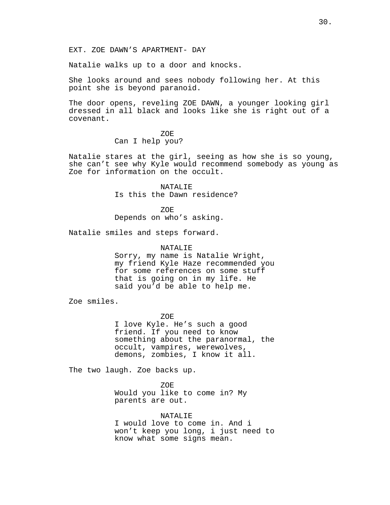Natalie walks up to a door and knocks.

She looks around and sees nobody following her. At this point she is beyond paranoid.

The door opens, reveling ZOE DAWN, a younger looking girl dressed in all black and looks like she is right out of a covenant.

ZOE

Can I help you?

Natalie stares at the girl, seeing as how she is so young, she can't see why Kyle would recommend somebody as young as Zoe for information on the occult.

> NATALIE Is this the Dawn residence?

ZOE Depends on who's asking.

Natalie smiles and steps forward.

## NATALIE

Sorry, my name is Natalie Wright, my friend Kyle Haze recommended you for some references on some stuff that is going on in my life. He said you'd be able to help me.

Zoe smiles.

ZOE

I love Kyle. He's such a good friend. If you need to know something about the paranormal, the occult, vampires, werewolves, demons, zombies, I know it all.

The two laugh. Zoe backs up.

ZOE

Would you like to come in? My parents are out.

NATALIF.

I would love to come in. And i won't keep you long, i just need to know what some signs mean.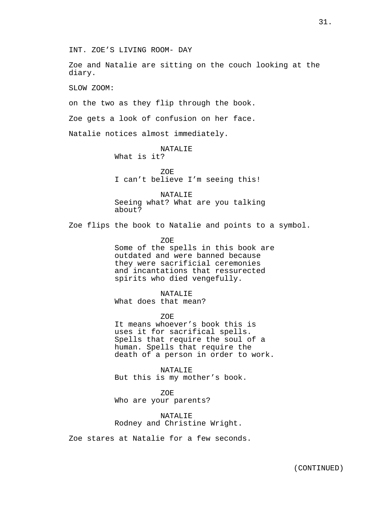Zoe and Natalie are sitting on the couch looking at the diary.

SLOW ZOOM:

on the two as they flip through the book.

Zoe gets a look of confusion on her face.

Natalie notices almost immediately.

NATALIE What is it?

ZOE I can't believe I'm seeing this!

NATALIE Seeing what? What are you talking about?

Zoe flips the book to Natalie and points to a symbol.

ZOE

Some of the spells in this book are outdated and were banned because they were sacrificial ceremonies and incantations that ressurected spirits who died vengefully.

NATALIE

What does that mean?

ZOE

It means whoever's book this is uses it for sacrifical spells. Spells that require the soul of a human. Spells that require the death of a person in order to work.

NATALIE But this is my mother's book.

ZOE Who are your parents?

NATALIE Rodney and Christine Wright.

Zoe stares at Natalie for a few seconds.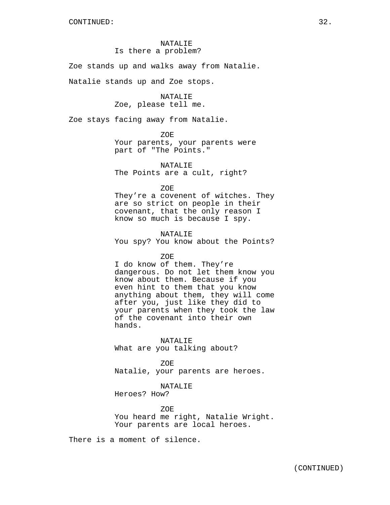## NATALIE Is there a problem?

Zoe stands up and walks away from Natalie.

Natalie stands up and Zoe stops.

## NATALIE Zoe, please tell me.

Zoe stays facing away from Natalie.

ZOE Your parents, your parents were part of "The Points."

NATALIE The Points are a cult, right?

ZOE

They're a covenent of witches. They are so strict on people in their covenant, that the only reason I know so much is because I spy.

NATALIE You spy? You know about the Points?

ZOE

I do know of them. They're dangerous. Do not let them know you know about them. Because if you even hint to them that you know anything about them, they will come after you, just like they did to your parents when they took the law of the covenant into their own hands.

NATALIE What are you talking about?

ZOE Natalie, your parents are heroes.

NATALIE

Heroes? How?

ZOE You heard me right, Natalie Wright. Your parents are local heroes.

There is a moment of silence.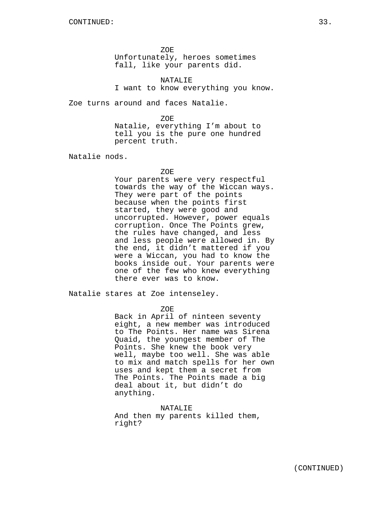ZOE Unfortunately, heroes sometimes fall, like your parents did.

NATALIE I want to know everything you know.

Zoe turns around and faces Natalie.

ZOE. Natalie, everything I'm about to tell you is the pure one hundred percent truth.

Natalie nods.

#### ZOE

Your parents were very respectful towards the way of the Wiccan ways. They were part of the points because when the points first started, they were good and uncorrupted. However, power equals corruption. Once The Points grew, the rules have changed, and less and less people were allowed in. By the end, it didn't mattered if you were a Wiccan, you had to know the books inside out. Your parents were one of the few who knew everything there ever was to know.

Natalie stares at Zoe intenseley.

ZOE

Back in April of ninteen seventy eight, a new member was introduced to The Points. Her name was Sirena Quaid, the youngest member of The Points. She knew the book very well, maybe too well. She was able to mix and match spells for her own uses and kept them a secret from The Points. The Points made a big deal about it, but didn't do anything.

NATALIE And then my parents killed them, right?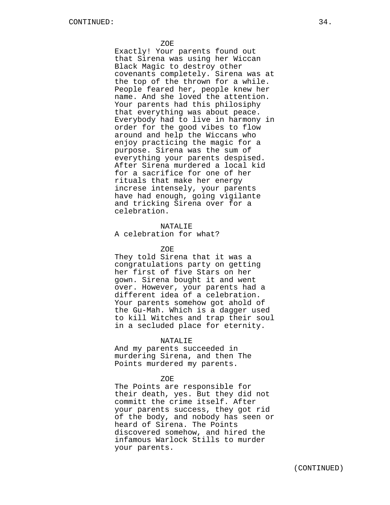Exactly! Your parents found out that Sirena was using her Wiccan Black Magic to destroy other covenants completely. Sirena was at the top of the thrown for a while. People feared her, people knew her name. And she loved the attention. Your parents had this philosiphy that everything was about peace. Everybody had to live in harmony in order for the good vibes to flow around and help the Wiccans who enjoy practicing the magic for a purpose. Sirena was the sum of everything your parents despised. After Sirena murdered a local kid for a sacrifice for one of her rituals that make her energy increse intensely, your parents have had enough, going vigilante and tricking Sirena over for a celebration.

# NATALIE

## A celebration for what?

### ZOE

They told Sirena that it was a congratulations party on getting her first of five Stars on her gown. Sirena bought it and went over. However, your parents had a different idea of a celebration. Your parents somehow got ahold of the Gu-Mah. Which is a dagger used to kill Witches and trap their soul in a secluded place for eternity.

#### NATALIE

And my parents succeeded in murdering Sirena, and then The Points murdered my parents.

#### ZOE

The Points are responsible for their death, yes. But they did not committ the crime itself. After your parents success, they got rid of the body, and nobody has seen or heard of Sirena. The Points discovered somehow, and hired the infamous Warlock Stills to murder your parents.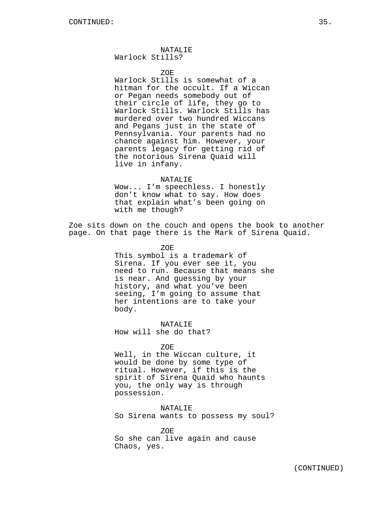NATALIE Warlock Stills?

ZOE

Warlock Stills is somewhat of a hitman for the occult. If a Wiccan or Pegan needs somebody out of their circle of life, they go to Warlock Stills. Warlock Stills has murdered over two hundred Wiccans and Pegans just in the state of Pennsylvania. Your parents had no chance against him. However, your parents legacy for getting rid of the notorious Sirena Quaid will live in infany.

### NATALIE

Wow... I'm speechless. I honestly don't know what to say. How does that explain what's been going on with me though?

Zoe sits down on the couch and opens the book to another page. On that page there is the Mark of Sirena Quaid.

ZOE

This symbol is a trademark of Sirena. If you ever see it, you need to run. Because that means she is near. And guessing by your history, and what you've been seeing, I'm going to assume that her intentions are to take your body.

NATALIE How will she do that?

ZOE

Well, in the Wiccan culture, it would be done by some type of ritual. However, if this is the spirit of Sirena Quaid who haunts you, the only way is through possession.

NATALIE So Sirena wants to possess my soul?

ZOE So she can live again and cause Chaos, yes.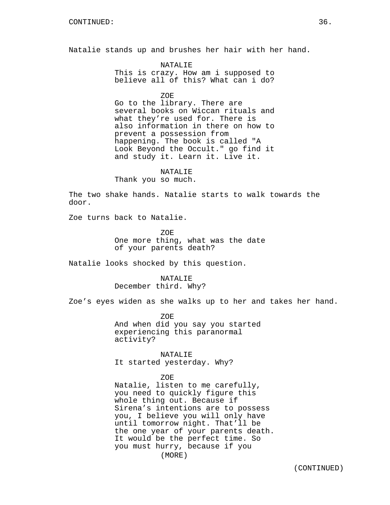Natalie stands up and brushes her hair with her hand.

NATALIE This is crazy. How am i supposed to

believe all of this? What can i do?

ZOE

Go to the library. There are several books on Wiccan rituals and what they're used for. There is also information in there on how to prevent a possession from happening. The book is called "A Look Beyond the Occult." go find it and study it. Learn it. Live it.

#### NATALIE

Thank you so much.

The two shake hands. Natalie starts to walk towards the door.

Zoe turns back to Natalie.

ZOE One more thing, what was the date of your parents death?

Natalie looks shocked by this question.

NATALIE December third. Why?

Zoe's eyes widen as she walks up to her and takes her hand.

ZOE And when did you say you started experiencing this paranormal activity?

NATALIE It started yesterday. Why?

## ZOE

Natalie, listen to me carefully, you need to quickly figure this whole thing out. Because if Sirena's intentions are to possess you, I believe you will only have until tomorrow night. That'll be the one year of your parents death. It would be the perfect time. So you must hurry, because if you (MORE)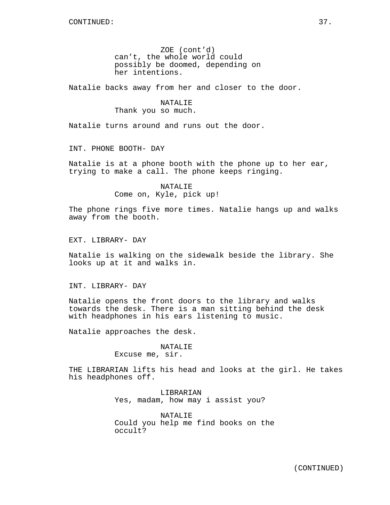ZOE (cont'd) can't, the whole world could possibly be doomed, depending on her intentions.

Natalie backs away from her and closer to the door.

## NATALIE Thank you so much.

Natalie turns around and runs out the door.

INT. PHONE BOOTH- DAY

Natalie is at a phone booth with the phone up to her ear, trying to make a call. The phone keeps ringing.

> NATALIE Come on, Kyle, pick up!

The phone rings five more times. Natalie hangs up and walks away from the booth.

EXT. LIBRARY- DAY

Natalie is walking on the sidewalk beside the library. She looks up at it and walks in.

INT. LIBRARY- DAY

Natalie opens the front doors to the library and walks towards the desk. There is a man sitting behind the desk with headphones in his ears listening to music.

Natalie approaches the desk.

## NATALIE Excuse me, sir.

THE LIBRARIAN lifts his head and looks at the girl. He takes

his headphones off.

LIBRARIAN Yes, madam, how may i assist you?

NATALIE Could you help me find books on the occult?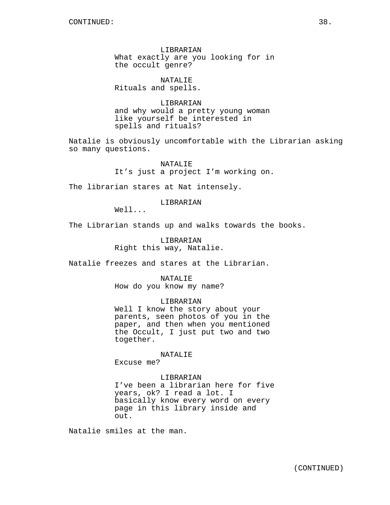LIBRARIAN What exactly are you looking for in the occult genre?

NATALIE Rituals and spells.

LIBRARIAN and why would a pretty young woman like yourself be interested in spells and rituals?

Natalie is obviously uncomfortable with the Librarian asking so many questions.

> NATALIE It's just a project I'm working on.

The librarian stares at Nat intensely.

LIBRARIAN

Well...

The Librarian stands up and walks towards the books.

LIBRARIAN Right this way, Natalie.

Natalie freezes and stares at the Librarian.

NATALIE How do you know my name?

## LIBRARIAN

Well I know the story about your parents, seen photos of you in the paper, and then when you mentioned the Occult, I just put two and two together.

NATALIE

Excuse me?

#### LIBRARIAN

I've been a librarian here for five years, ok? I read a lot. I basically know every word on every page in this library inside and out.

Natalie smiles at the man.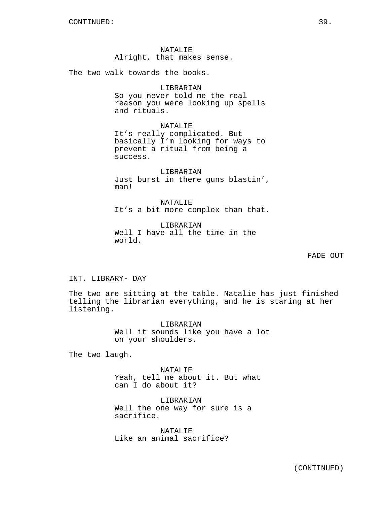NATALIE Alright, that makes sense.

The two walk towards the books.

## LIBRARIAN

So you never told me the real reason you were looking up spells and rituals.

NATALIE It's really complicated. But basically I'm looking for ways to prevent a ritual from being a success.

LIBRARIAN Just burst in there guns blastin', man!

NATALIE It's a bit more complex than that.

LIBRARIAN Well I have all the time in the world.

FADE OUT

INT. LIBRARY- DAY

The two are sitting at the table. Natalie has just finished telling the librarian everything, and he is staring at her listening.

> LIBRARIAN Well it sounds like you have a lot on your shoulders.

The two laugh.

NATALIE Yeah, tell me about it. But what can I do about it?

LIBRARIAN Well the one way for sure is a sacrifice.

NATALIE Like an animal sacrifice?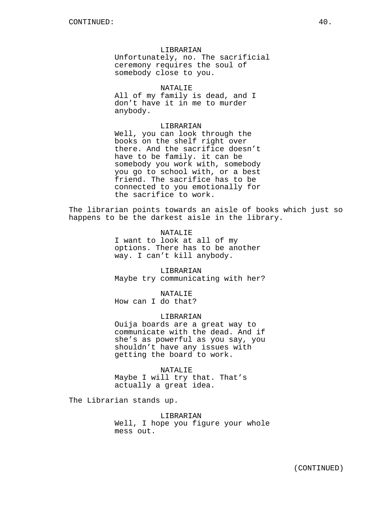#### LIBRARIAN

Unfortunately, no. The sacrificial ceremony requires the soul of somebody close to you.

## NATALIE

All of my family is dead, and I don't have it in me to murder anybody.

## LIBRARIAN

Well, you can look through the books on the shelf right over there. And the sacrifice doesn't have to be family. it can be somebody you work with, somebody you go to school with, or a best friend. The sacrifice has to be connected to you emotionally for the sacrifice to work.

The librarian points towards an aisle of books which just so happens to be the darkest aisle in the library.

#### NATALIE

I want to look at all of my options. There has to be another way. I can't kill anybody.

LIBRARIAN Maybe try communicating with her?

NATALIE How can I do that?

#### LIBRARIAN

Ouija boards are a great way to communicate with the dead. And if she's as powerful as you say, you shouldn't have any issues with getting the board to work.

NATALIE Maybe I will try that. That's actually a great idea.

The Librarian stands up.

#### LIBRARIAN

Well, I hope you figure your whole mess out.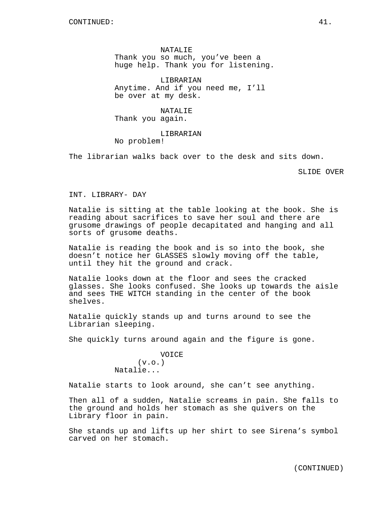NATALIE Thank you so much, you've been a huge help. Thank you for listening.

LIBRARIAN Anytime. And if you need me, I'll be over at my desk.

NATALIE Thank you again.

LIBRARIAN No problem!

The librarian walks back over to the desk and sits down.

SLIDE OVER

INT. LIBRARY- DAY

Natalie is sitting at the table looking at the book. She is reading about sacrifices to save her soul and there are grusome drawings of people decapitated and hanging and all sorts of grusome deaths.

Natalie is reading the book and is so into the book, she doesn't notice her GLASSES slowly moving off the table, until they hit the ground and crack.

Natalie looks down at the floor and sees the cracked glasses. She looks confused. She looks up towards the aisle and sees THE WITCH standing in the center of the book shelves.

Natalie quickly stands up and turns around to see the Librarian sleeping.

She quickly turns around again and the figure is gone.

VOICE  $(v.o.)$ Natalie...

Natalie starts to look around, she can't see anything.

Then all of a sudden, Natalie screams in pain. She falls to the ground and holds her stomach as she quivers on the Library floor in pain.

She stands up and lifts up her shirt to see Sirena's symbol carved on her stomach.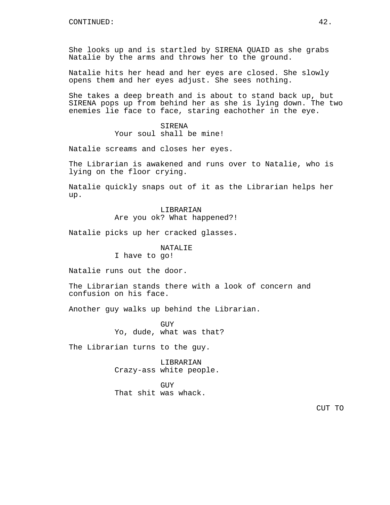She looks up and is startled by SIRENA QUAID as she grabs Natalie by the arms and throws her to the ground.

Natalie hits her head and her eyes are closed. She slowly opens them and her eyes adjust. She sees nothing.

She takes a deep breath and is about to stand back up, but SIRENA pops up from behind her as she is lying down. The two enemies lie face to face, staring eachother in the eye.

> SIRENA Your soul shall be mine!

Natalie screams and closes her eyes.

The Librarian is awakened and runs over to Natalie, who is lying on the floor crying.

Natalie quickly snaps out of it as the Librarian helps her up.

> LIBRARIAN Are you ok? What happened?!

Natalie picks up her cracked glasses.

NATALIE

I have to go!

Natalie runs out the door.

The Librarian stands there with a look of concern and confusion on his face.

Another guy walks up behind the Librarian.

GUY Yo, dude, what was that?

The Librarian turns to the guy.

LIBRARIAN Crazy-ass white people.

GUY That shit was whack.

CUT TO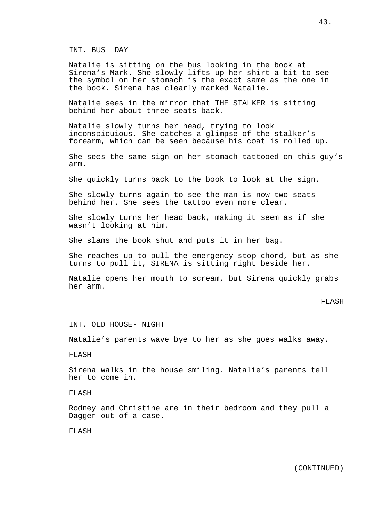INT. BUS- DAY

Natalie is sitting on the bus looking in the book at Sirena's Mark. She slowly lifts up her shirt a bit to see the symbol on her stomach is the exact same as the one in the book. Sirena has clearly marked Natalie.

Natalie sees in the mirror that THE STALKER is sitting behind her about three seats back.

Natalie slowly turns her head, trying to look inconspicuious. She catches a glimpse of the stalker's forearm, which can be seen because his coat is rolled up.

She sees the same sign on her stomach tattooed on this guy's arm.

She quickly turns back to the book to look at the sign.

She slowly turns again to see the man is now two seats behind her. She sees the tattoo even more clear.

She slowly turns her head back, making it seem as if she wasn't looking at him.

She slams the book shut and puts it in her bag.

She reaches up to pull the emergency stop chord, but as she turns to pull it, SIRENA is sitting right beside her.

Natalie opens her mouth to scream, but Sirena quickly grabs her arm.

#### FLASH

INT. OLD HOUSE- NIGHT

Natalie's parents wave bye to her as she goes walks away.

FLASH

Sirena walks in the house smiling. Natalie's parents tell her to come in.

FLASH

Rodney and Christine are in their bedroom and they pull a Dagger out of a case.

FLASH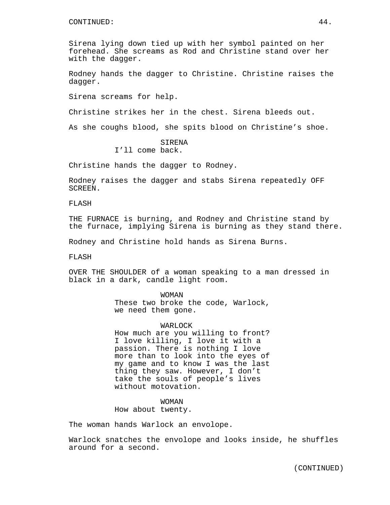#### CONTINUED: 44.

Sirena lying down tied up with her symbol painted on her forehead. She screams as Rod and Christine stand over her with the dagger.

Rodney hands the dagger to Christine. Christine raises the dagger.

Sirena screams for help.

Christine strikes her in the chest. Sirena bleeds out.

As she coughs blood, she spits blood on Christine's shoe.

## SIRENA I'll come back.

Christine hands the dagger to Rodney.

Rodney raises the dagger and stabs Sirena repeatedly OFF SCREEN.

FLASH

THE FURNACE is burning, and Rodney and Christine stand by the furnace, implying Sirena is burning as they stand there.

Rodney and Christine hold hands as Sirena Burns.

FLASH

OVER THE SHOULDER of a woman speaking to a man dressed in black in a dark, candle light room.

> WOMAN These two broke the code, Warlock, we need them gone.

## WARLOCK

How much are you willing to front? I love killing, I love it with a passion. There is nothing I love more than to look into the eyes of my game and to know I was the last thing they saw. However, I don't take the souls of people's lives without motovation.

WOMAN

How about twenty.

The woman hands Warlock an envolope.

Warlock snatches the envolope and looks inside, he shuffles around for a second.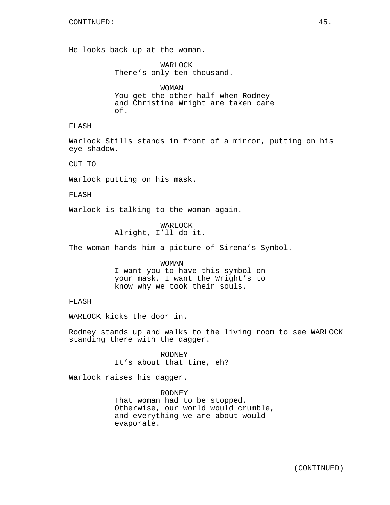He looks back up at the woman.

WARLOCK There's only ten thousand.

WOMAN You get the other half when Rodney and Christine Wright are taken care of.

## FLASH

Warlock Stills stands in front of a mirror, putting on his eye shadow.

CUT TO

Warlock putting on his mask.

FLASH

Warlock is talking to the woman again.

WARLOCK Alright, I'll do it.

The woman hands him a picture of Sirena's Symbol.

## WOMAN I want you to have this symbol on your mask, I want the Wright's to know why we took their souls.

## FLASH

WARLOCK kicks the door in.

Rodney stands up and walks to the living room to see WARLOCK standing there with the dagger.

> RODNEY It's about that time, eh?

Warlock raises his dagger.

RODNEY That woman had to be stopped. Otherwise, our world would crumble, and everything we are about would evaporate.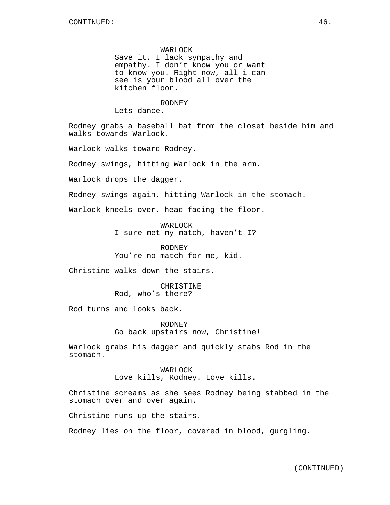WARLOCK Save it, I lack sympathy and empathy. I don't know you or want to know you. Right now, all i can see is your blood all over the kitchen floor.

RODNEY

Lets dance.

Rodney grabs a baseball bat from the closet beside him and walks towards Warlock.

Warlock walks toward Rodney.

Rodney swings, hitting Warlock in the arm.

Warlock drops the dagger.

Rodney swings again, hitting Warlock in the stomach.

Warlock kneels over, head facing the floor.

WARLOCK I sure met my match, haven't I?

RODNEY You're no match for me, kid.

Christine walks down the stairs.

CHRISTINE Rod, who's there?

Rod turns and looks back.

RODNEY Go back upstairs now, Christine!

Warlock grabs his dagger and quickly stabs Rod in the stomach.

> WARLOCK Love kills, Rodney. Love kills.

Christine screams as she sees Rodney being stabbed in the stomach over and over again.

Christine runs up the stairs.

Rodney lies on the floor, covered in blood, gurgling.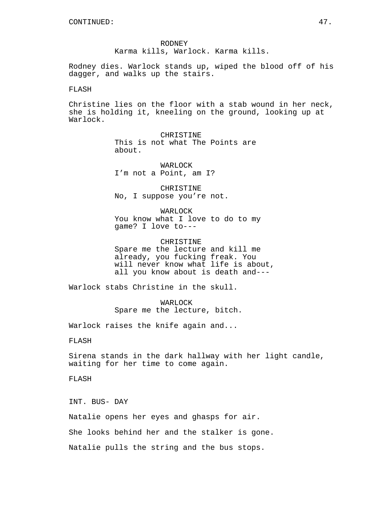RODNEY Karma kills, Warlock. Karma kills.

Rodney dies. Warlock stands up, wiped the blood off of his dagger, and walks up the stairs.

## FLASH

Christine lies on the floor with a stab wound in her neck, she is holding it, kneeling on the ground, looking up at Warlock.

> CHRISTINE This is not what The Points are about.

WARLOCK I'm not a Point, am I?

CHRISTINE No, I suppose you're not.

WARLOCK You know what I love to do to my game? I love to---

CHRISTINE Spare me the lecture and kill me already, you fucking freak. You will never know what life is about, all you know about is death and---

Warlock stabs Christine in the skull.

WARLOCK Spare me the lecture, bitch.

Warlock raises the knife again and...

FLASH

Sirena stands in the dark hallway with her light candle, waiting for her time to come again.

FLASH

INT. BUS- DAY

Natalie opens her eyes and ghasps for air.

She looks behind her and the stalker is gone.

Natalie pulls the string and the bus stops.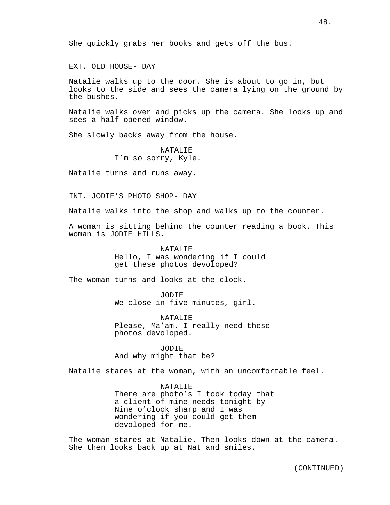EXT. OLD HOUSE- DAY

Natalie walks up to the door. She is about to go in, but looks to the side and sees the camera lying on the ground by the bushes.

Natalie walks over and picks up the camera. She looks up and sees a half opened window.

She slowly backs away from the house.

**NATALIE** I'm so sorry, Kyle.

Natalie turns and runs away.

INT. JODIE'S PHOTO SHOP- DAY

Natalie walks into the shop and walks up to the counter.

A woman is sitting behind the counter reading a book. This woman is JODIE HILLS.

> NATALIE Hello, I was wondering if I could get these photos devoloped?

The woman turns and looks at the clock.

JODIE We close in five minutes, girl.

NATALIE Please, Ma'am. I really need these photos devoloped.

JODIE And why might that be?

Natalie stares at the woman, with an uncomfortable feel.

NATALIE There are photo's I took today that a client of mine needs tonight by Nine o'clock sharp and I was wondering if you could get them devoloped for me.

The woman stares at Natalie. Then looks down at the camera. She then looks back up at Nat and smiles.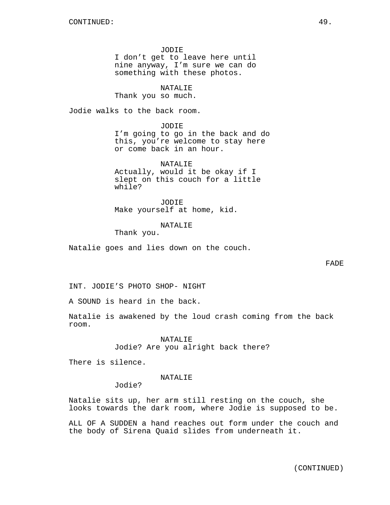JODIE I don't get to leave here until nine anyway, I'm sure we can do something with these photos.

NATALIE

Thank you so much.

Jodie walks to the back room.

JODIE I'm going to go in the back and do this, you're welcome to stay here or come back in an hour.

NATALIE Actually, would it be okay if I slept on this couch for a little while?

JODIE Make yourself at home, kid.

NATALIE

Thank you.

Natalie goes and lies down on the couch.

INT. JODIE'S PHOTO SHOP- NIGHT

A SOUND is heard in the back.

Natalie is awakened by the loud crash coming from the back room.

> NATALIE Jodie? Are you alright back there?

There is silence.

NATALIE

Jodie?

Natalie sits up, her arm still resting on the couch, she looks towards the dark room, where Jodie is supposed to be.

ALL OF A SUDDEN a hand reaches out form under the couch and the body of Sirena Quaid slides from underneath it.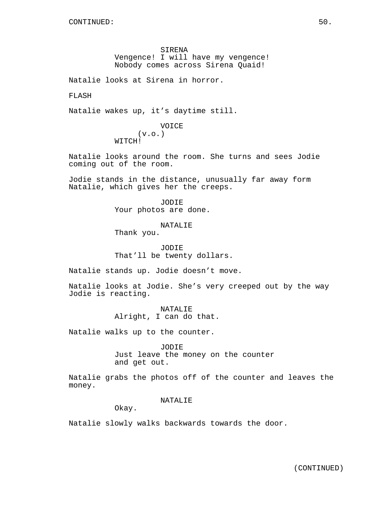SIRENA Vengence! I will have my vengence! Nobody comes across Sirena Quaid!

Natalie looks at Sirena in horror.

FLASH

Natalie wakes up, it's daytime still.

## VOICE (v.o.) WITCH!

Natalie looks around the room. She turns and sees Jodie coming out of the room.

Jodie stands in the distance, unusually far away form Natalie, which gives her the creeps.

> JODIE Your photos are done.

> > NATALIE

Thank you.

JODIE That'll be twenty dollars.

Natalie stands up. Jodie doesn't move.

Natalie looks at Jodie. She's very creeped out by the way Jodie is reacting.

> NATALIE Alright, I can do that.

Natalie walks up to the counter.

JODIE

Just leave the money on the counter and get out.

Natalie grabs the photos off of the counter and leaves the money.

NATALIE

Okay.

Natalie slowly walks backwards towards the door.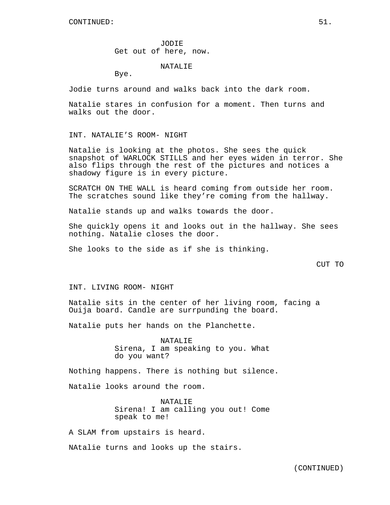JODIE Get out of here, now.

## NATALIE

Bye.

Jodie turns around and walks back into the dark room.

Natalie stares in confusion for a moment. Then turns and walks out the door.

### INT. NATALIE'S ROOM- NIGHT

Natalie is looking at the photos. She sees the quick snapshot of WARLOCK STILLS and her eyes widen in terror. She also flips through the rest of the pictures and notices a shadowy figure is in every picture.

SCRATCH ON THE WALL is heard coming from outside her room. The scratches sound like they're coming from the hallway.

Natalie stands up and walks towards the door.

She quickly opens it and looks out in the hallway. She sees nothing. Natalie closes the door.

She looks to the side as if she is thinking.

## CUT TO

#### INT. LIVING ROOM- NIGHT

Natalie sits in the center of her living room, facing a Ouija board. Candle are surrpunding the board.

Natalie puts her hands on the Planchette.

NATALIE Sirena, I am speaking to you. What do you want?

Nothing happens. There is nothing but silence.

Natalie looks around the room.

NATALIE Sirena! I am calling you out! Come speak to me!

A SLAM from upstairs is heard.

NAtalie turns and looks up the stairs.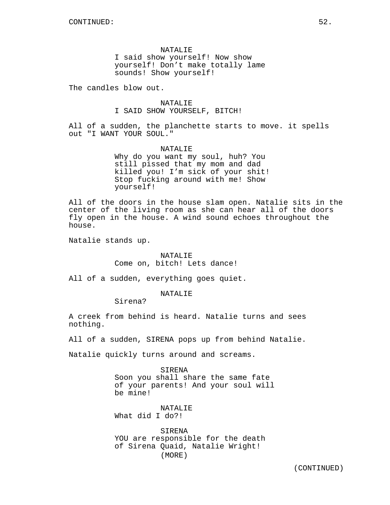NATALIE I said show yourself! Now show yourself! Don't make totally lame sounds! Show yourself!

The candles blow out.

NATALIF. I SAID SHOW YOURSELF, BITCH!

All of a sudden, the planchette starts to move. it spells out "I WANT YOUR SOUL."

> NATALIE Why do you want my soul, huh? You still pissed that my mom and dad killed you! I'm sick of your shit! Stop fucking around with me! Show yourself!

All of the doors in the house slam open. Natalie sits in the center of the living room as she can hear all of the doors fly open in the house. A wind sound echoes throughout the house.

Natalie stands up.

#### NATALIE

Come on, bitch! Lets dance!

All of a sudden, everything goes quiet.

NATALIE

Sirena?

A creek from behind is heard. Natalie turns and sees nothing.

All of a sudden, SIRENA pops up from behind Natalie.

Natalie quickly turns around and screams.

SIRENA Soon you shall share the same fate of your parents! And your soul will be mine!

NATALIE What did I do?!

SIRENA YOU are responsible for the death of Sirena Quaid, Natalie Wright! (MORE)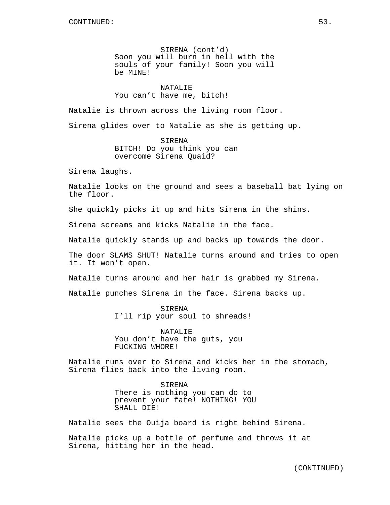SIRENA (cont'd) Soon you will burn in hell with the souls of your family! Soon you will be MINE!

## NATALIE

## You can't have me, bitch!

Natalie is thrown across the living room floor.

Sirena glides over to Natalie as she is getting up.

SIRENA BITCH! Do you think you can overcome Sirena Quaid?

Sirena laughs.

Natalie looks on the ground and sees a baseball bat lying on the floor.

She quickly picks it up and hits Sirena in the shins.

Sirena screams and kicks Natalie in the face.

Natalie quickly stands up and backs up towards the door.

The door SLAMS SHUT! Natalie turns around and tries to open it. It won't open.

Natalie turns around and her hair is grabbed my Sirena.

Natalie punches Sirena in the face. Sirena backs up.

SIRENA I'll rip your soul to shreads!

NATALIE You don't have the guts, you FUCKING WHORE!

Natalie runs over to Sirena and kicks her in the stomach, Sirena flies back into the living room.

> SIRENA There is nothing you can do to prevent your fate! NOTHING! YOU SHALL DIE!

Natalie sees the Ouija board is right behind Sirena.

Natalie picks up a bottle of perfume and throws it at Sirena, hitting her in the head.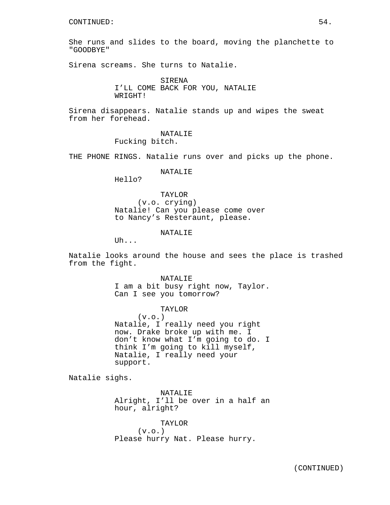She runs and slides to the board, moving the planchette to "GOODBYE"

Sirena screams. She turns to Natalie.

SIRENA I'LL COME BACK FOR YOU, NATALIE WRIGHT!

Sirena disappears. Natalie stands up and wipes the sweat from her forehead.

> NATALIE Fucking bitch.

THE PHONE RINGS. Natalie runs over and picks up the phone.

## NATALIE

Hello?

TAYLOR (v.o. crying) Natalie! Can you please come over to Nancy's Resteraunt, please.

NATALIF.

 $U<sub>h</sub>$ ...

Natalie looks around the house and sees the place is trashed from the fight.

> NATALIE I am a bit busy right now, Taylor. Can I see you tomorrow?

> TAYLOR  $(v.o.)$ Natalie, I really need you right now. Drake broke up with me. I don't know what I'm going to do. I think I'm going to kill myself, Natalie, I really need your support.

Natalie sighs.

NATALIE Alright, I'll be over in a half an hour, alright?

TAYLOR  $(v.o.)$ Please hurry Nat. Please hurry.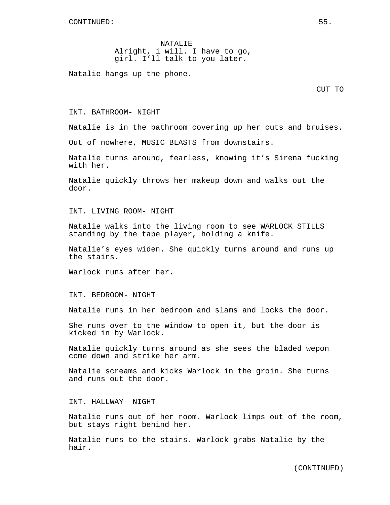NATALIE Alright, i will. I have to go, girl. I'll talk to you later.

Natalie hangs up the phone.

CUT TO

## INT. BATHROOM- NIGHT

Natalie is in the bathroom covering up her cuts and bruises.

Out of nowhere, MUSIC BLASTS from downstairs.

Natalie turns around, fearless, knowing it's Sirena fucking with her.

Natalie quickly throws her makeup down and walks out the door.

INT. LIVING ROOM- NIGHT

Natalie walks into the living room to see WARLOCK STILLS standing by the tape player, holding a knife.

Natalie's eyes widen. She quickly turns around and runs up the stairs.

Warlock runs after her.

INT. BEDROOM- NIGHT

Natalie runs in her bedroom and slams and locks the door.

She runs over to the window to open it, but the door is kicked in by Warlock.

Natalie quickly turns around as she sees the bladed wepon come down and strike her arm.

Natalie screams and kicks Warlock in the groin. She turns and runs out the door.

INT. HALLWAY- NIGHT

Natalie runs out of her room. Warlock limps out of the room, but stays right behind her.

Natalie runs to the stairs. Warlock grabs Natalie by the hair.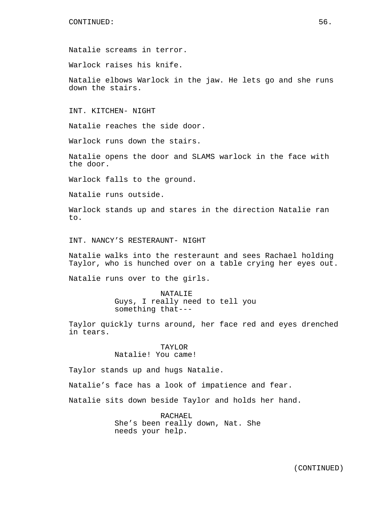Natalie screams in terror.

Warlock raises his knife.

Natalie elbows Warlock in the jaw. He lets go and she runs down the stairs.

INT. KITCHEN- NIGHT

Natalie reaches the side door.

Warlock runs down the stairs.

Natalie opens the door and SLAMS warlock in the face with the door.

Warlock falls to the ground.

Natalie runs outside.

Warlock stands up and stares in the direction Natalie ran to.

INT. NANCY'S RESTERAUNT- NIGHT

Natalie walks into the resteraunt and sees Rachael holding Taylor, who is hunched over on a table crying her eyes out.

Natalie runs over to the girls.

NATALIE Guys, I really need to tell you something that---

Taylor quickly turns around, her face red and eyes drenched in tears.

> TAYLOR Natalie! You came!

Taylor stands up and hugs Natalie.

Natalie's face has a look of impatience and fear.

Natalie sits down beside Taylor and holds her hand.

RACHAEL She's been really down, Nat. She needs your help.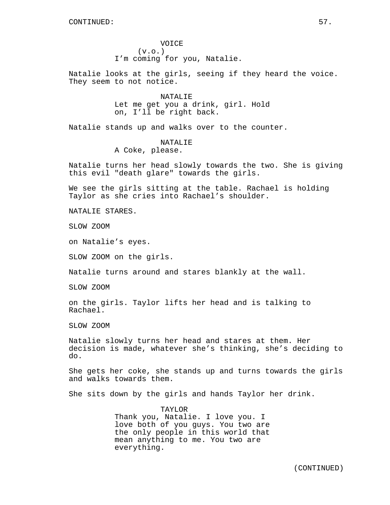VOICE  $(v.o.)$ I'm coming for you, Natalie.

Natalie looks at the girls, seeing if they heard the voice. They seem to not notice.

> NATALIE Let me get you a drink, girl. Hold on, I'll be right back.

Natalie stands up and walks over to the counter.

NATALIE A Coke, please.

Natalie turns her head slowly towards the two. She is giving this evil "death glare" towards the girls.

We see the girls sitting at the table. Rachael is holding Taylor as she cries into Rachael's shoulder.

NATALIE STARES.

SLOW ZOOM

on Natalie's eyes.

SLOW ZOOM on the girls.

Natalie turns around and stares blankly at the wall.

SLOW ZOOM

on the girls. Taylor lifts her head and is talking to Rachael.

SLOW ZOOM

Natalie slowly turns her head and stares at them. Her decision is made, whatever she's thinking, she's deciding to do.

She gets her coke, she stands up and turns towards the girls and walks towards them.

She sits down by the girls and hands Taylor her drink.

TAYLOR

Thank you, Natalie. I love you. I love both of you guys. You two are the only people in this world that mean anything to me. You two are everything.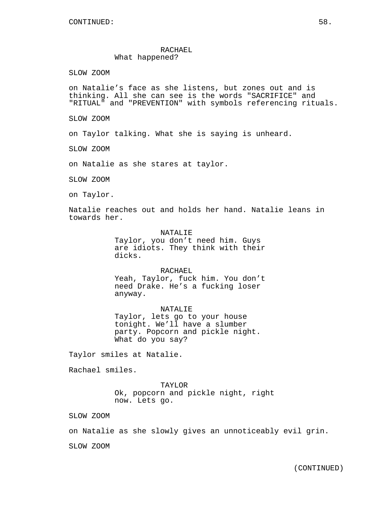## RACHAEL What happened?

SLOW ZOOM

on Natalie's face as she listens, but zones out and is thinking. All she can see is the words "SACRIFICE" and "RITUAL" and "PREVENTION" with symbols referencing rituals.

SLOW ZOOM

on Taylor talking. What she is saying is unheard.

SLOW ZOOM

on Natalie as she stares at taylor.

SLOW ZOOM

on Taylor.

Natalie reaches out and holds her hand. Natalie leans in towards her.

> NATALIE Taylor, you don't need him. Guys are idiots. They think with their dicks.

> RACHAEL Yeah, Taylor, fuck him. You don't need Drake. He's a fucking loser anyway.

NATALIE Taylor, lets go to your house tonight. We'll have a slumber party. Popcorn and pickle night. What do you say?

Taylor smiles at Natalie.

Rachael smiles.

TAYLOR Ok, popcorn and pickle night, right now. Lets go.

SLOW ZOOM

on Natalie as she slowly gives an unnoticeably evil grin.

SLOW ZOOM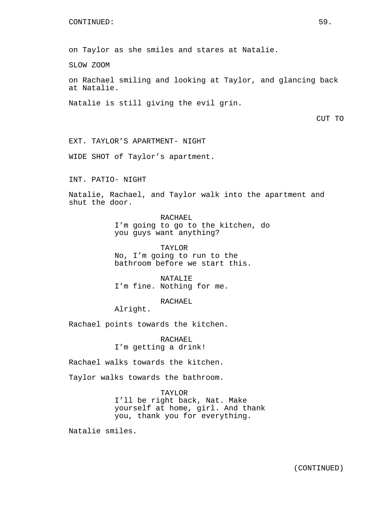#### CONTINUED: 59.

on Taylor as she smiles and stares at Natalie.

SLOW ZOOM

on Rachael smiling and looking at Taylor, and glancing back at Natalie.

Natalie is still giving the evil grin.

CUT TO

EXT. TAYLOR'S APARTMENT- NIGHT

WIDE SHOT of Taylor's apartment.

INT. PATIO- NIGHT

Natalie, Rachael, and Taylor walk into the apartment and shut the door.

> RACHAEL I'm going to go to the kitchen, do you guys want anything?

TAYLOR No, I'm going to run to the bathroom before we start this.

NATALIE<sup></sup> I'm fine. Nothing for me.

RACHAEL

Alright.

Rachael points towards the kitchen.

RACHAEL I'm getting a drink!

Rachael walks towards the kitchen.

Taylor walks towards the bathroom.

TAYLOR I'll be right back, Nat. Make yourself at home, girl. And thank you, thank you for everything.

Natalie smiles.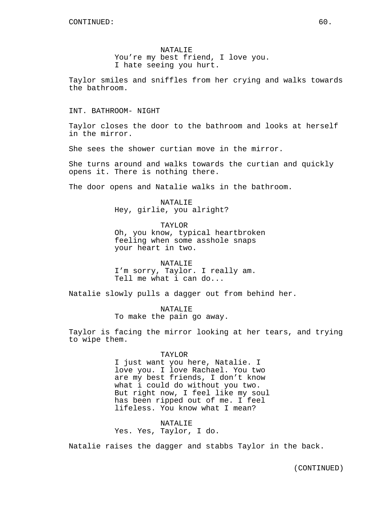NATALIE You're my best friend, I love you. I hate seeing you hurt.

Taylor smiles and sniffles from her crying and walks towards the bathroom.

INT. BATHROOM- NIGHT

Taylor closes the door to the bathroom and looks at herself in the mirror.

She sees the shower curtian move in the mirror.

She turns around and walks towards the curtian and quickly opens it. There is nothing there.

The door opens and Natalie walks in the bathroom.

NATALIE Hey, girlie, you alright?

TAYLOR Oh, you know, typical heartbroken feeling when some asshole snaps your heart in two.

NATALIE I'm sorry, Taylor. I really am. Tell me what i can do...

Natalie slowly pulls a dagger out from behind her.

NATALIE To make the pain go away.

Taylor is facing the mirror looking at her tears, and trying to wipe them.

TAYLOR

I just want you here, Natalie. I love you. I love Rachael. You two are my best friends, I don't know what i could do without you two. But right now, I feel like my soul has been ripped out of me. I feel lifeless. You know what I mean?

NATALIE Yes. Yes, Taylor, I do.

Natalie raises the dagger and stabbs Taylor in the back.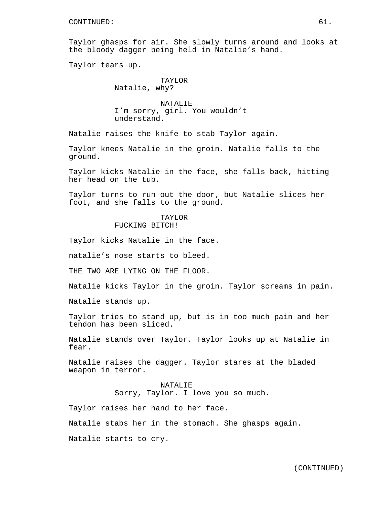Taylor ghasps for air. She slowly turns around and looks at the bloody dagger being held in Natalie's hand.

Taylor tears up.

### TAYLOR Natalie, why?

NATALIE I'm sorry, girl. You wouldn't understand.

Natalie raises the knife to stab Taylor again.

Taylor knees Natalie in the groin. Natalie falls to the ground.

Taylor kicks Natalie in the face, she falls back, hitting her head on the tub.

Taylor turns to run out the door, but Natalie slices her foot, and she falls to the ground.

# TAYLOR

FUCKING BITCH!

Taylor kicks Natalie in the face.

natalie's nose starts to bleed.

THE TWO ARE LYING ON THE FLOOR.

Natalie kicks Taylor in the groin. Taylor screams in pain.

Natalie stands up.

Taylor tries to stand up, but is in too much pain and her tendon has been sliced.

Natalie stands over Taylor. Taylor looks up at Natalie in fear.

Natalie raises the dagger. Taylor stares at the bladed weapon in terror.

#### NATALIE

Sorry, Taylor. I love you so much.

Taylor raises her hand to her face.

Natalie stabs her in the stomach. She ghasps again.

Natalie starts to cry.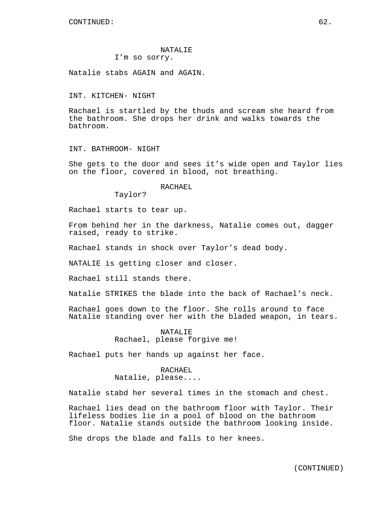# NATALIE

## I'm so sorry.

Natalie stabs AGAIN and AGAIN.

#### INT. KITCHEN- NIGHT

Rachael is startled by the thuds and scream she heard from the bathroom. She drops her drink and walks towards the bathroom.

INT. BATHROOM- NIGHT

She gets to the door and sees it's wide open and Taylor lies on the floor, covered in blood, not breathing.

#### RACHAEL

Taylor?

Rachael starts to tear up.

From behind her in the darkness, Natalie comes out, dagger raised, ready to strike.

Rachael stands in shock over Taylor's dead body.

NATALIE is getting closer and closer.

Rachael still stands there.

Natalie STRIKES the blade into the back of Rachael's neck.

Rachael goes down to the floor. She rolls around to face Natalie standing over her with the bladed weapon, in tears.

> NATALIE Rachael, please forgive me!

Rachael puts her hands up against her face.

RACHAEL Natalie, please....

Natalie stabd her several times in the stomach and chest.

Rachael lies dead on the bathroom floor with Taylor. Their lifeless bodies lie in a pool of blood on the bathroom floor. Natalie stands outside the bathroom looking inside.

She drops the blade and falls to her knees.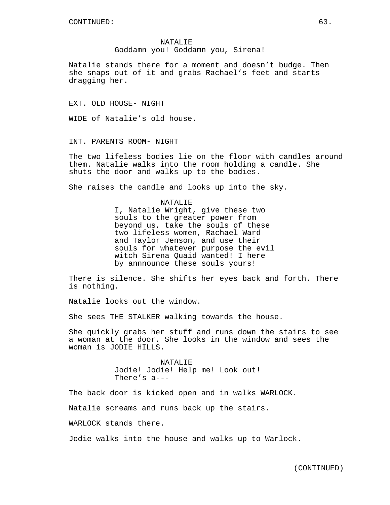NATALIE Goddamn you! Goddamn you, Sirena!

Natalie stands there for a moment and doesn't budge. Then she snaps out of it and grabs Rachael's feet and starts dragging her.

EXT. OLD HOUSE- NIGHT

WIDE of Natalie's old house.

INT. PARENTS ROOM- NIGHT

The two lifeless bodies lie on the floor with candles around them. Natalie walks into the room holding a candle. She shuts the door and walks up to the bodies.

She raises the candle and looks up into the sky.

NATALIE I, Natalie Wright, give these two souls to the greater power from beyond us, take the souls of these two lifeless women, Rachael Ward and Taylor Jenson, and use their souls for whatever purpose the evil witch Sirena Quaid wanted! I here by annnounce these souls yours!

There is silence. She shifts her eyes back and forth. There is nothing.

Natalie looks out the window.

She sees THE STALKER walking towards the house.

She quickly grabs her stuff and runs down the stairs to see a woman at the door. She looks in the window and sees the woman is JODIE HILLS.

> NATALIE Jodie! Jodie! Help me! Look out! There's a---

The back door is kicked open and in walks WARLOCK.

Natalie screams and runs back up the stairs.

WARLOCK stands there.

Jodie walks into the house and walks up to Warlock.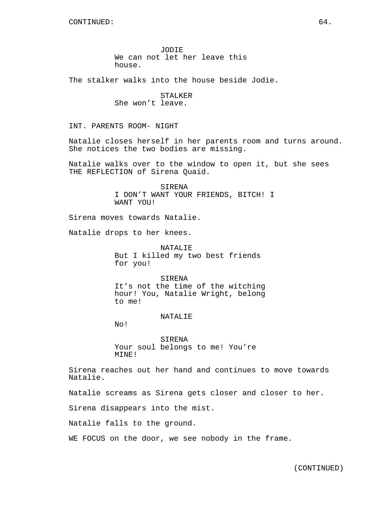The stalker walks into the house beside Jodie.

STALKER She won't leave.

INT. PARENTS ROOM- NIGHT

Natalie closes herself in her parents room and turns around. She notices the two bodies are missing.

Natalie walks over to the window to open it, but she sees THE REFLECTION of Sirena Quaid.

> SIRENA I DON'T WANT YOUR FRIENDS, BITCH! I WANT YOU!

Sirena moves towards Natalie.

Natalie drops to her knees.

NATALIE But I killed my two best friends for you!

**SIRENA** It's not the time of the witching hour! You, Natalie Wright, belong to me!

NATALIE

No!

SIRENA Your soul belongs to me! You're MINE!

Sirena reaches out her hand and continues to move towards Natalie.

Natalie screams as Sirena gets closer and closer to her.

Sirena disappears into the mist.

Natalie falls to the ground.

WE FOCUS on the door, we see nobody in the frame.